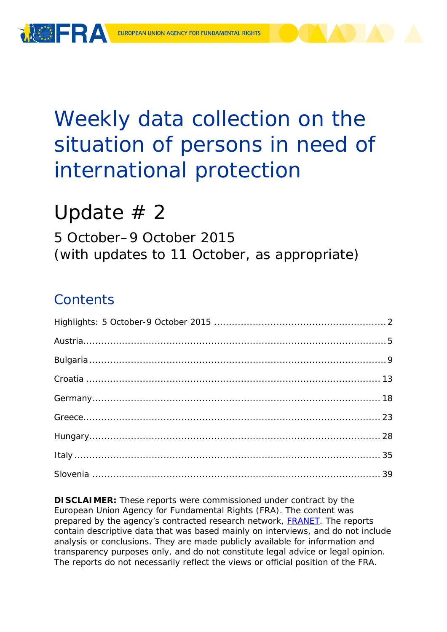

# Weekly data collection on the situation of persons in need of international protection

# Update  $# 2$

5 October–9 October 2015 (with updates to 11 October, as appropriate)

## **Contents**

**DISCLAIMER:** These reports were commissioned under contract by the European Union Agency for Fundamental Rights (FRA). The content was prepared by the agency's contracted research network, **FRANET**. The reports contain descriptive data that was based mainly on interviews, and do not include analysis or conclusions. They are made publicly available for information and transparency purposes only, and do not constitute legal advice or legal opinion. The reports do not necessarily reflect the views or official position of the FRA.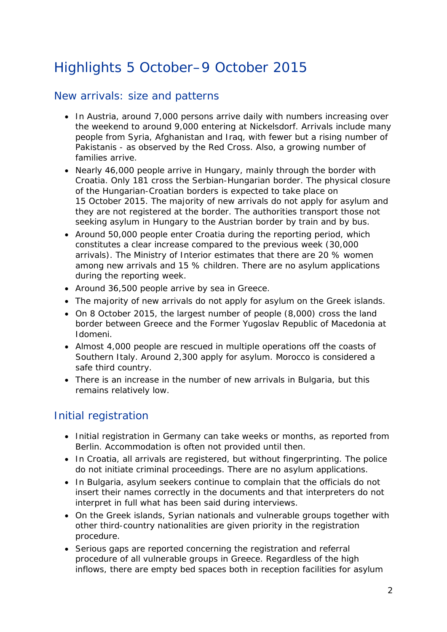## <span id="page-1-0"></span>Highlights 5 October–9 October 2015

#### New arrivals: size and patterns

- In Austria, around 7,000 persons arrive daily with numbers increasing over the weekend to around 9,000 entering at Nickelsdorf. Arrivals include many people from Syria, Afghanistan and Iraq, with fewer but a rising number of Pakistanis - as observed by the Red Cross. Also, a growing number of families arrive.
- Nearly 46,000 people arrive in Hungary, mainly through the border with Croatia. Only 181 cross the Serbian-Hungarian border. The physical closure of the Hungarian-Croatian borders is expected to take place on 15 October 2015. The majority of new arrivals do not apply for asylum and they are not registered at the border. The authorities transport those not seeking asylum in Hungary to the Austrian border by train and by bus.
- Around 50,000 people enter Croatia during the reporting period, which constitutes a clear increase compared to the previous week (30,000 arrivals). The Ministry of Interior estimates that there are 20 % women among new arrivals and 15 % children. There are no asylum applications during the reporting week.
- Around 36,500 people arrive by sea in Greece.
- The majority of new arrivals do not apply for asylum on the Greek islands.
- On 8 October 2015, the largest number of people (8,000) cross the land border between Greece and the Former Yugoslav Republic of Macedonia at Idomeni.
- Almost 4,000 people are rescued in multiple operations off the coasts of Southern Italy. Around 2,300 apply for asylum. Morocco is considered a safe third country.
- There is an increase in the number of new arrivals in Bulgaria, but this remains relatively low.

#### Initial registration

- Initial registration in Germany can take weeks or months, as reported from Berlin. Accommodation is often not provided until then.
- In Croatia, all arrivals are registered, but without fingerprinting. The police do not initiate criminal proceedings. There are no asylum applications.
- In Bulgaria, asylum seekers continue to complain that the officials do not insert their names correctly in the documents and that interpreters do not interpret in full what has been said during interviews.
- On the Greek islands, Syrian nationals and vulnerable groups together with other third-country nationalities are given priority in the registration procedure.
- Serious gaps are reported concerning the registration and referral procedure of all vulnerable groups in Greece. Regardless of the high inflows, there are empty bed spaces both in reception facilities for asylum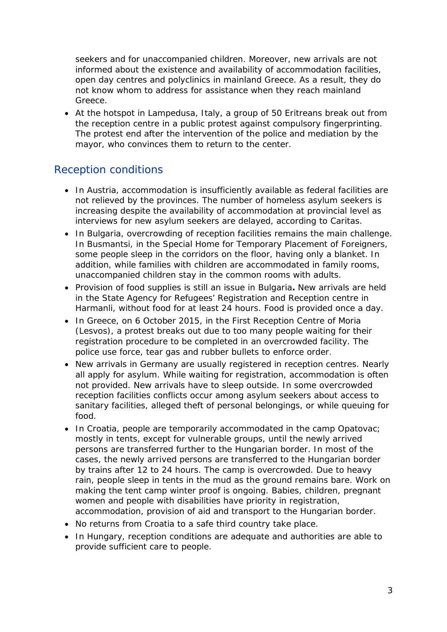seekers and for unaccompanied children. Moreover, new arrivals are not informed about the existence and availability of accommodation facilities, open day centres and polyclinics in mainland Greece. As a result, they do not know whom to address for assistance when they reach mainland Greece.

• At the hotspot in Lampedusa, Italy, a group of 50 Eritreans break out from the reception centre in a public protest against compulsory fingerprinting. The protest end after the intervention of the police and mediation by the mayor, who convinces them to return to the center.

#### Reception conditions

- In Austria, accommodation is insufficiently available as federal facilities are not relieved by the provinces. The number of homeless asylum seekers is increasing despite the availability of accommodation at provincial level as interviews for new asylum seekers are delayed, according to Caritas.
- In Bulgaria, overcrowding of reception facilities remains the main challenge. In Busmantsi, in the Special Home for Temporary Placement of Foreigners, some people sleep in the corridors on the floor, having only a blanket. In addition, while families with children are accommodated in family rooms, unaccompanied children stay in the common rooms with adults.
- Provision of food supplies is still an issue in Bulgaria**.** New arrivals are held in the State Agency for Refugees' Registration and Reception centre in Harmanli, without food for at least 24 hours. Food is provided once a day.
- In Greece, on 6 October 2015, in the First Reception Centre of Moria (Lesvos), a protest breaks out due to too many people waiting for their registration procedure to be completed in an overcrowded facility. The police use force, tear gas and rubber bullets to enforce order.
- New arrivals in Germany are usually registered in reception centres. Nearly all apply for asylum. While waiting for registration, accommodation is often not provided. New arrivals have to sleep outside. In some overcrowded reception facilities conflicts occur among asylum seekers about access to sanitary facilities, alleged theft of personal belongings, or while queuing for food.
- In Croatia, people are temporarily accommodated in the camp Opatovac; mostly in tents, except for vulnerable groups, until the newly arrived persons are transferred further to the Hungarian border. In most of the cases, the newly arrived persons are transferred to the Hungarian border by trains after 12 to 24 hours. The camp is overcrowded. Due to heavy rain, people sleep in tents in the mud as the ground remains bare. Work on making the tent camp winter proof is ongoing. Babies, children, pregnant women and people with disabilities have priority in registration, accommodation, provision of aid and transport to the Hungarian border.
- No returns from Croatia to a safe third country take place.
- In Hungary, reception conditions are adequate and authorities are able to provide sufficient care to people.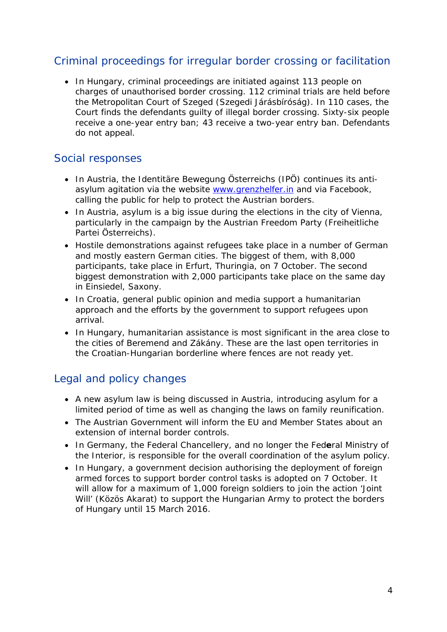### Criminal proceedings for irregular border crossing or facilitation

• In Hungary, criminal proceedings are initiated against 113 people on charges of unauthorised border crossing. 112 criminal trials are held before the Metropolitan Court of Szeged (*Szegedi Járásbíróság)*. In 110 cases, the Court finds the defendants guilty of illegal border crossing. Sixty-six people receive a one-year entry ban; 43 receive a two-year entry ban. Defendants do not appeal.

#### Social responses

- In Austria, the *Identitäre Bewegung Österreichs (IPÖ)* continues its antiasylum agitation via the website [www.grenzhelfer.in](http://www.grenzhelfer.in/) and via Facebook, calling the public for help to protect the Austrian borders.
- In Austria, asylum is a big issue during the elections in the city of Vienna, particularly in the campaign by the Austrian Freedom Party (*Freiheitliche Partei Österreichs*).
- Hostile demonstrations against refugees take place in a number of German and mostly eastern German cities. The biggest of them, with 8,000 participants, take place in Erfurt, Thuringia, on 7 October. The second biggest demonstration with 2,000 participants take place on the same day in Einsiedel, Saxony.
- In Croatia, general public opinion and media support a humanitarian approach and the efforts by the government to support refugees upon arrival.
- In Hungary, humanitarian assistance is most significant in the area close to the cities of Beremend and Zákány. These are the last open territories in the Croatian-Hungarian borderline where fences are not ready yet.

### Legal and policy changes

- A new asylum law is being discussed in Austria, introducing asylum for a limited period of time as well as changing the laws on family reunification.
- The Austrian Government will inform the EU and Member States about an extension of internal border controls.
- In Germany, the Federal Chancellery, and no longer the Fed**e**ral Ministry of the Interior, is responsible for the overall coordination of the asylum policy.
- In Hungary, a government decision authorising the deployment of foreign armed forces to support border control tasks is adopted on 7 October. It will allow for a maximum of 1,000 foreign soldiers to join the action 'Joint Will' (*Közös Akarat)* to support the Hungarian Army to protect the borders of Hungary until 15 March 2016.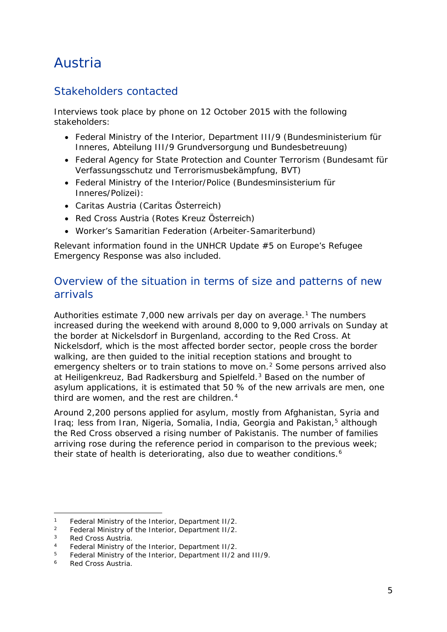## <span id="page-4-0"></span>Austria

### Stakeholders contacted

Interviews took place by phone on 12 October 2015 with the following stakeholders:

- Federal Ministry of the Interior, Department III/9 (Bundesministerium für Inneres, Abteilung III/9 Grundversorgung und Bundesbetreuung)
- Federal Agency for State Protection and Counter Terrorism (Bundesamt für Verfassungsschutz und Terrorismusbekämpfung, BVT)
- Federal Ministry of the Interior/Police (Bundesminsisterium für Inneres/Polizei):
- Caritas Austria (Caritas Österreich)
- Red Cross Austria (Rotes Kreuz Österreich)
- Worker's Samaritian Federation (Arbeiter-Samariterbund)

Relevant information found in the UNHCR Update #5 on Europe's Refugee Emergency Response was also included.

### Overview of the situation in terms of size and patterns of new arrivals

Authorities estimate  $7,000$  new arrivals per day on average.<sup>[1](#page-4-1)</sup> The numbers increased during the weekend with around 8,000 to 9,000 arrivals on Sunday at the border at Nickelsdorf in Burgenland, according to the Red Cross. At Nickelsdorf, which is the most affected border sector, people cross the border walking, are then guided to the initial reception stations and brought to emergency shelters or to train stations to move on.<sup>[2](#page-4-2)</sup> Some persons arrived also at Heiligenkreuz, Bad Radkersburg and Spielfeld.<sup>[3](#page-4-3)</sup> Based on the number of asylum applications, it is estimated that 50 % of the new arrivals are men, one third are women, and the rest are children.<sup>[4](#page-4-4)</sup>

Around 2,200 persons applied for asylum, mostly from Afghanistan, Syria and Iraq; less from Iran, Nigeria, Somalia, India, Georgia and Pakistan,<sup>[5](#page-4-5)</sup> although the Red Cross observed a rising number of Pakistanis. The number of families arriving rose during the reference period in comparison to the previous week; their state of health is deteriorating, also due to weather conditions.<sup>[6](#page-4-6)</sup>

<span id="page-4-1"></span><sup>&</sup>lt;sup>1</sup> Federal Ministry of the Interior, Department II/2.<br><sup>2</sup> Eoderal Ministry of the Interior, Department II/2.  $\mathbf{1}$ 

<span id="page-4-2"></span><sup>&</sup>lt;sup>2</sup> Federal Ministry of the Interior, Department II/2.<br> $\frac{3}{2}$  Red Cress Austria

<span id="page-4-3"></span><sup>&</sup>lt;sup>3</sup> Red Cross Austria.<br><sup>4</sup> Eederal Ministry of

<span id="page-4-4"></span><sup>&</sup>lt;sup>4</sup> Federal Ministry of the Interior, Department II/2.<br><sup>5</sup> Eoderal Ministry of the Interior, Department II/2.

<span id="page-4-5"></span><sup>5</sup> Federal Ministry of the Interior, Department II/2 and III/9.

<span id="page-4-6"></span>Red Cross Austria.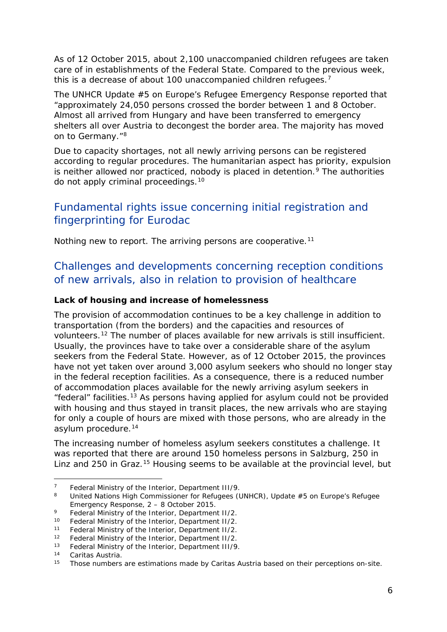<span id="page-5-3"></span>As of 12 October 2015, about 2,100 unaccompanied children refugees are taken care of in establishments of the Federal State. Compared to the previous week, this is a decrease of about 100 unaccompanied children refugees.<sup>[7](#page-5-0)</sup>

The UNHCR Update #5 on Europe's Refugee Emergency Response reported that "approximately 24,050 persons crossed the border between 1 and 8 October. Almost all arrived from Hungary and have been transferred to emergency shelters all over Austria to decongest the border area. The majority has moved on to Germany."<sup>[8](#page-5-1)</sup>

Due to capacity shortages, not all newly arriving persons can be registered according to regular procedures. The humanitarian aspect has priority, expulsion is neither allowed nor practiced, nobody is placed in detention.<sup>[9](#page-5-2)</sup> The authorities do not apply criminal proceedings.[10](#page-5-3)

### Fundamental rights issue concerning initial registration and fingerprinting for Eurodac

Nothing new to report. The arriving persons are cooperative.<sup>[11](#page-5-4)</sup>

### Challenges and developments concerning reception conditions of new arrivals, also in relation to provision of healthcare

#### **Lack of housing and increase of homelessness**

The provision of accommodation continues to be a key challenge in addition to transportation (from the borders) and the capacities and resources of volunteers.[12](#page-5-5) The number of places available for new arrivals is still insufficient. Usually, the provinces have to take over a considerable share of the asylum seekers from the Federal State. However, as of 12 October 2015, the provinces have not yet taken over around 3,000 asylum seekers who should no longer stay in the federal reception facilities. As a consequence, there is a reduced number of accommodation places available for the newly arriving asylum seekers in "federal" facilities.[13](#page-5-3) As persons having applied for asylum could not be provided with housing and thus stayed in transit places, the new arrivals who are staying for only a couple of hours are mixed with those persons, who are already in the asylum procedure[.14](#page-5-3)

The increasing number of homeless asylum seekers constitutes a challenge. It was reported that there are around 150 homeless persons in Salzburg, 250 in Linz and 250 in Graz.<sup>[15](#page-5-6)</sup> Housing seems to be available at the provincial level, but

<sup>7</sup> Federal Ministry of the Interior, Department III/9. j.

<span id="page-5-1"></span><span id="page-5-0"></span><sup>8</sup> United Nations High Commissioner for Refugees (UNHCR), Update #5 on *Europe's Refugee Emergency Response*, 2 – 8 October 2015.

<span id="page-5-2"></span><sup>9</sup> Federal Ministry of the Interior, Department II/2.<br>
Federal Ministry of the Interior, Department II/2

<sup>&</sup>lt;sup>10</sup> Federal Ministry of the Interior, Department II/2.<br><sup>11</sup> Eederal Ministry of the Interior, Department II/2.

<span id="page-5-4"></span><sup>&</sup>lt;sup>11</sup> Federal Ministry of the Interior, Department II/2.<br><sup>12</sup> Eederal Ministry of the Interior, Department II/2

<sup>12</sup> Federal Ministry of the Interior, Department II/2.

<span id="page-5-5"></span><sup>&</sup>lt;sup>13</sup> Federal Ministry of the Interior, Department III/9.

<sup>14</sup> Caritas Austria.

<span id="page-5-6"></span><sup>&</sup>lt;sup>15</sup> Those numbers are estimations made by Caritas Austria based on their perceptions on-site.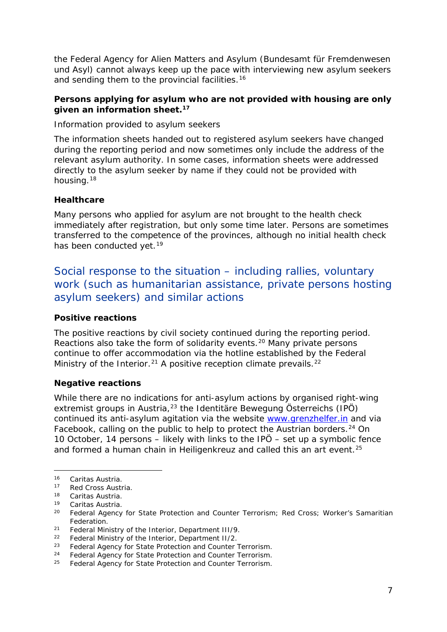<span id="page-6-5"></span>the Federal Agency for Alien Matters and Asylum *(Bundesamt für Fremdenwesen und Asyl)* cannot always keep up the pace with interviewing new asylum seekers and sending them to the provincial facilities.<sup>[16](#page-6-0)</sup>

#### **Persons applying for asylum who are not provided with housing are only given an information sheet.[17](#page-6-1)**

Information provided to asylum seekers

The information sheets handed out to registered asylum seekers have changed during the reporting period and now sometimes only include the address of the relevant asylum authority. In some cases, information sheets were addressed directly to the asylum seeker by name if they could not be provided with housing.<sup>[18](#page-6-2)</sup>

#### **Healthcare**

Many persons who applied for asylum are not brought to the health check immediately after registration, but only some time later. Persons are sometimes transferred to the competence of the provinces, although no initial health check has been conducted yet.<sup>[19](#page-6-3)</sup>

### Social response to the situation – including rallies, voluntary work (such as humanitarian assistance, private persons hosting asylum seekers) and similar actions

#### **Positive reactions**

The positive reactions by civil society continued during the reporting period. Reactions also take the form of solidarity events.[20](#page-6-4) Many private persons continue to offer accommodation via the hotline established by the Federal Ministry of the Interior.<sup>[21](#page-6-5)</sup> A positive reception climate prevails.<sup>[22](#page-6-5)</sup>

#### **Negative reactions**

While there are no indications for anti-asylum actions by organised right-wing extremist groups in Austria,[23](#page-6-6) the *Identitäre Bewegung Österreichs (IPÖ)* continued its anti-asylum agitation via the website [www.grenzhelfer.in](http://www.grenzhelfer.in/) and via Facebook, calling on the public to help to protect the Austrian borders.<sup>[24](#page-6-5)</sup> On 10 October, 14 persons – likely with links to the *IPÖ* – set up a symbolic fence and formed a human chain in Heiligenkreuz and called this an art event.<sup>[25](#page-6-5)</sup>

<span id="page-6-1"></span><span id="page-6-0"></span><sup>&</sup>lt;sup>16</sup> Caritas Austria.<br><sup>17</sup> Red Cross Austria.<br><sup>18</sup> Caritas Austria.

<span id="page-6-4"></span><span id="page-6-3"></span><span id="page-6-2"></span><sup>&</sup>lt;sup>19</sup> Caritas Austria.<br><sup>20</sup> Federal Agency for State Protection and Counter Terrorism; Red Cross; Worker's Samaritian Federation.

<sup>21</sup> Federal Ministry of the Interior, Department III/9.

 $22$  Federal Ministry of the Interior, Department II/2.

<span id="page-6-6"></span><sup>&</sup>lt;sup>23</sup> Federal Agency for State Protection and Counter Terrorism.

<sup>&</sup>lt;sup>24</sup> Federal Agency for State Protection and Counter Terrorism.

<sup>&</sup>lt;sup>25</sup> Federal Agency for State Protection and Counter Terrorism.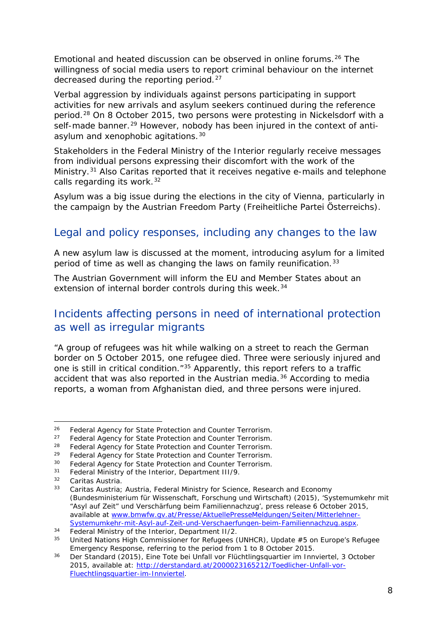<span id="page-7-1"></span>Emotional and heated discussion can be observed in online forums.<sup>[26](#page-7-0)</sup> The willingness of social media users to report criminal behaviour on the internet decreased during the reporting period.<sup>[27](#page-7-1)</sup>

Verbal aggression by individuals against persons participating in support activities for new arrivals and asylum seekers continued during the reference period.[28](#page-7-2) On 8 October 2015, two persons were protesting in Nickelsdorf with a self-made banner.<sup>[29](#page-7-1)</sup> However, nobody has been injured in the context of anti-asylum and xenophobic agitations.<sup>[30](#page-7-1)</sup>

Stakeholders in the Federal Ministry of the Interior regularly receive messages from individual persons expressing their discomfort with the work of the Ministry.[31](#page-7-3) Also Caritas reported that it receives negative e-mails and telephone calls regarding its work.<sup>[32](#page-7-1)</sup>

Asylum was a big issue during the elections in the city of Vienna, particularly in the campaign by the Austrian Freedom Party *(Freiheitliche Partei Österreichs)*.

### Legal and policy responses, including any changes to the law

A new asylum law is discussed at the moment, introducing asylum for a limited period of time as well as changing the laws on family reunification.<sup>[33](#page-7-4)</sup>

The Austrian Government will inform the EU and Member States about an extension of internal border controls during this week.<sup>[34](#page-7-5)</sup>

#### Incidents affecting persons in need of international protection as well as irregular migrants

"A group of refugees was hit while walking on a street to reach the German border on 5 October 2015, one refugee died. Three were seriously injured and one is still in critical condition."[35](#page-7-6) Apparently, this report refers to a traffic accident that was also reported in the Austrian media.<sup>[36](#page-7-1)</sup> According to media reports, a woman from Afghanistan died, and three persons were injured.

<sup>&</sup>lt;sup>26</sup> Federal Agency for State Protection and Counter Terrorism.<br><sup>27</sup> Eederal Agency for State Protection and Counter Terrorism. -

<span id="page-7-0"></span><sup>&</sup>lt;sup>27</sup> Federal Agency for State Protection and Counter Terrorism.<br><sup>28</sup> Eederal Agency for State Protection and Counter Terrorism

<span id="page-7-2"></span><sup>&</sup>lt;sup>28</sup> Federal Agency for State Protection and Counter Terrorism.<br><sup>29</sup> Eoderal Agency for State Protection and Counter Terrorism.

<sup>&</sup>lt;sup>29</sup> Federal Agency for State Protection and Counter Terrorism.<br><sup>30</sup> Eederal Agency for State Protection and Counter Terrorism.

<sup>&</sup>lt;sup>30</sup> Federal Agency for State Protection and Counter Terrorism.<br><sup>31</sup> Eederal Ministry of the Interior Department III/9

<span id="page-7-3"></span> $31$  Federal Ministry of the Interior, Department III/9.<br> $32$  Caritas Austria

<span id="page-7-4"></span><sup>&</sup>lt;sup>32</sup> Caritas Austria.<br><sup>33</sup> Caritas Austria; Austria, Federal Ministry for Science, Research and Economy (*Bundesministerium für Wissenschaft, Forschung und Wirtschaft*) (2015), 'Systemumkehr mit "Asyl auf Zeit" und Verschärfung beim Familiennachzug', press release 6 October 2015, available at [www.bmwfw.gv.at/Presse/AktuellePresseMeldungen/Seiten/Mitterlehner-](http://www.bmwfw.gv.at/Presse/AktuellePresseMeldungen/Seiten/Mitterlehner-Systemumkehr-mit-Asyl-auf-Zeit-und-Verschaerfungen-beim-Familiennachzug.aspx)[Systemumkehr-mit-Asyl-auf-Zeit-und-Verschaerfungen-beim-Familiennachzug.aspx.](http://www.bmwfw.gv.at/Presse/AktuellePresseMeldungen/Seiten/Mitterlehner-Systemumkehr-mit-Asyl-auf-Zeit-und-Verschaerfungen-beim-Familiennachzug.aspx)

<span id="page-7-5"></span><sup>&</sup>lt;sup>34</sup> Federal Ministry of the Interior, Department II/2.<br><sup>35</sup> Heited Nations High Commissioner for Defugees (

<span id="page-7-6"></span><sup>35</sup> United Nations High Commissioner for Refugees (UNHCR), Update #5 on *Europe's Refugee Emergency Response*, referring to the period from 1 to 8 October 2015.

<sup>36</sup> Der Standard (2015), *Eine Tote bei Unfall vor Flüchtlingsquartier im Innviertel,* 3 October 2015, available at: [http://derstandard.at/2000023165212/Toedlicher-Unfall-vor-](http://derstandard.at/2000023165212/Toedlicher-Unfall-vor-Fluechtlingsquartier-im-Innviertel)[Fluechtlingsquartier-im-Innviertel.](http://derstandard.at/2000023165212/Toedlicher-Unfall-vor-Fluechtlingsquartier-im-Innviertel)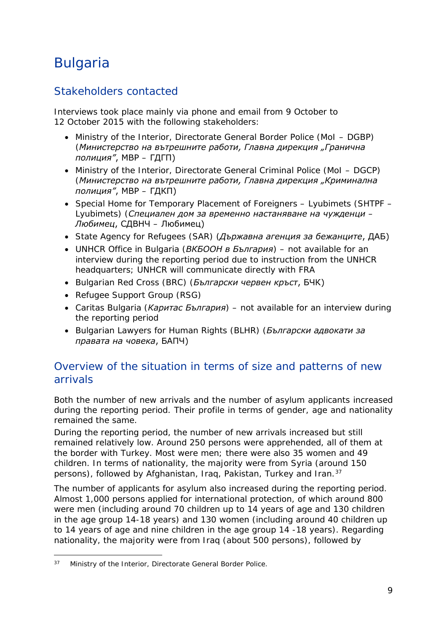## <span id="page-8-0"></span>Bulgaria

### Stakeholders contacted

Interviews took place mainly via phone and email from 9 October to 12 October 2015 with the following stakeholders:

- Ministry of the Interior, Directorate General Border Police (MoI DGBP) (*Министерство на вътрешните работи, Главна дирекция "Гранична полиция"*, МВР – ГДГП)
- Ministry of the Interior, Directorate General Criminal Police (MoI DGCP) (*Министерство на вътрешните работи, Главна дирекция "Криминална полиция"*, МВР – ГДКП)
- Special Home for Temporary Placement of Foreigners Lyubimets (SHTPF Lyubimets) (*Специален дом за временно настаняване на чужденци – Любимец*, СДВНЧ – Любимец)
- State Agency for Refugees (SAR) (*Държавна агенция за бежанците*, ДАБ)
- UNHCR Office in Bulgaria (*ВКБООН в България*) not available for an interview during the reporting period due to instruction from the UNHCR headquarters; UNHCR will communicate directly with FRA
- Bulgarian Red Cross (BRC) (*Български червен кръст*, БЧК)
- Refugee Support Group (RSG)
- Caritas Bulgaria (*Каритас България*) not available for an interview during the reporting period
- Bulgarian Lawyers for Human Rights (BLHR) (*Български адвокати за правата на човека*, БАПЧ)

### Overview of the situation in terms of size and patterns of new arrivals

Both the number of new arrivals and the number of asylum applicants increased during the reporting period. Their profile in terms of gender, age and nationality remained the same.

During the reporting period, the number of new arrivals increased but still remained relatively low. Around 250 persons were apprehended, all of them at the border with Turkey. Most were men; there were also 35 women and 49 children. In terms of nationality, the majority were from Syria (around 150 persons), followed by Afghanistan, Iraq, Pakistan, Turkey and Iran.[37](#page-8-1)

The number of applicants for asylum also increased during the reporting period. Almost 1,000 persons applied for international protection, of which around 800 were men (including around 70 children up to 14 years of age and 130 children in the age group 14-18 years) and 130 women (including around 40 children up to 14 years of age and nine children in the age group 14 -18 years). Regarding nationality, the majority were from Iraq (about 500 persons), followed by

<span id="page-8-1"></span>Ministry of the Interior, Directorate General Border Police. 37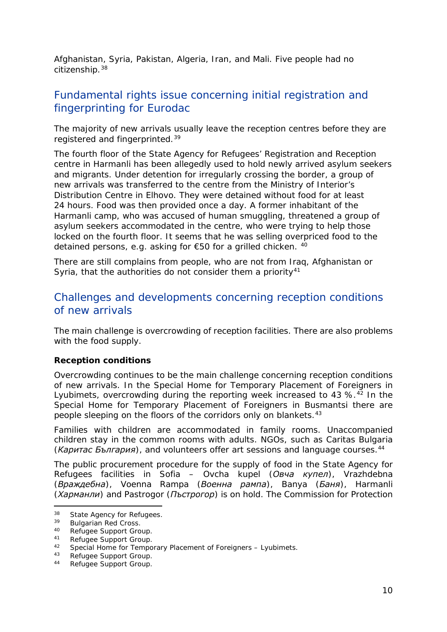<span id="page-9-5"></span>Afghanistan, Syria, Pakistan, Algeria, Iran, and Mali. Five people had no citizenship.[38](#page-9-0)

### Fundamental rights issue concerning initial registration and fingerprinting for Eurodac

The majority of new arrivals usually leave the reception centres before they are registered and fingerprinted.<sup>[39](#page-9-1)</sup>

The fourth floor of the State Agency for Refugees' Registration and Reception centre in Harmanli has been allegedly used to hold newly arrived asylum seekers and migrants. Under detention for irregularly crossing the border, a group of new arrivals was transferred to the centre from the Ministry of Interior's Distribution Centre in Elhovo. They were detained without food for at least 24 hours. Food was then provided once a day. A former inhabitant of the Harmanli camp, who was accused of human smuggling, threatened a group of asylum seekers accommodated in the centre, who were trying to help those locked on the fourth floor. It seems that he was selling overpriced food to the detained persons, e.g. asking for €50 for a grilled chicken. [40](#page-9-2)

There are still complains from people, who are not from Iraq, Afghanistan or Syria, that the authorities do not consider them a priority<sup>[41](#page-9-3)</sup>

#### Challenges and developments concerning reception conditions of new arrivals

The main challenge is overcrowding of reception facilities. There are also problems with the food supply.

#### **Reception conditions**

Overcrowding continues to be the main challenge concerning reception conditions of new arrivals. In the Special Home for Temporary Placement of Foreigners in Lyubimets, overcrowding during the reporting week increased to 43 %.<sup>[42](#page-9-4)</sup> In the Special Home for Temporary Placement of Foreigners in Busmantsi there are people sleeping on the floors of the corridors only on blankets.[43](#page-9-5)

Families with children are accommodated in family rooms. Unaccompanied children stay in the common rooms with adults. NGOs, such as Caritas Bulgaria (*Каритас България*), and volunteers offer art sessions and language courses.[44](#page-9-6)

The public procurement procedure for the supply of food in the State Agency for Refugees facilities in Sofia – Ovcha kupel (*Овча купел*), Vrazhdebna (*Враждебна*), Voenna Rampa (*Военна рампа*), Banya (*Баня*), Harmanli (*Харманли*) and Pastrogor (*Пъстрогор*) is on hold. The Commission for Protection

<span id="page-9-0"></span> $38$  State Agency for Refugees.<br> $39$  Bulgarian Bod Cross 38

<span id="page-9-1"></span><sup>&</sup>lt;sup>39</sup> Bulgarian Red Cross.<br><sup>40</sup> Befusee Support Cro

<span id="page-9-2"></span><sup>40</sup> Refugee Support Group.<br>41 Defugee Support Croup.

<span id="page-9-3"></span><sup>41</sup> Refugee Support Group.<br>42 Special Home for Tempo

<span id="page-9-4"></span><sup>42</sup> Special Home for Temporary Placement of Foreigners – Lyubimets.<br> $^{43}$  Refugee Support Group

Refugee Support Group.

<span id="page-9-6"></span><sup>44</sup> Refugee Support Group.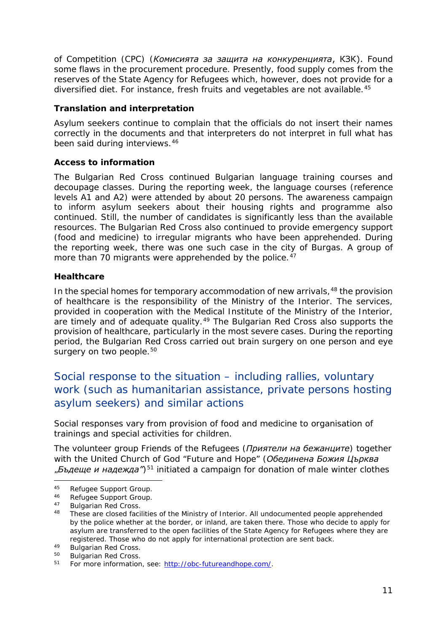<span id="page-10-4"></span>of Competition (CPC) (*Комисията за защита на конкуренцията*, КЗК). Found some flaws in the procurement procedure. Presently, food supply comes from the reserves of the State Agency for Refugees which, however, does not provide for a diversified diet. For instance, fresh fruits and vegetables are not available.<sup>[45](#page-10-0)</sup>

#### **Translation and interpretation**

Asylum seekers continue to complain that the officials do not insert their names correctly in the documents and that interpreters do not interpret in full what has been said during interviews.<sup>[46](#page-10-1)</sup>

#### **Access to information**

The Bulgarian Red Cross continued Bulgarian language training courses and decoupage classes. During the reporting week, the language courses (reference levels A1 and A2) were attended by about 20 persons. The awareness campaign to inform asylum seekers about their housing rights and programme also continued. Still, the number of candidates is significantly less than the available resources. The Bulgarian Red Cross also continued to provide emergency support (food and medicine) to irregular migrants who have been apprehended. During the reporting week, there was one such case in the city of Burgas. A group of more than 70 migrants were apprehended by the police.<sup>[47](#page-10-2)</sup>

#### **Healthcare**

In the special homes for temporary accommodation of new arrivals,  $48$  the provision of healthcare is the responsibility of the Ministry of the Interior. The services, provided in cooperation with the Medical Institute of the Ministry of the Interior, are timely and of adequate quality.<sup>[49](#page-10-4)</sup> The Bulgarian Red Cross also supports the provision of healthcare, particularly in the most severe cases. During the reporting period, the Bulgarian Red Cross carried out brain surgery on one person and eye surgery on two people.<sup>[50](#page-10-4)</sup>

### Social response to the situation – including rallies, voluntary work (such as humanitarian assistance, private persons hosting asylum seekers) and similar actions

Social responses vary from provision of food and medicine to organisation of trainings and special activities for children.

The volunteer group Friends of the Refugees (*Приятели на бежанците*) together with the United Church of God "Future and Hope" (*Обединена Божия Църква "Бъдеще и надежда"*)[51](#page-10-5) initiated a campaign for donation of male winter clothes

<span id="page-10-0"></span><sup>45</sup> Refugee Support Group.<br>46 Bofugee Support Group 45

<span id="page-10-1"></span><sup>46</sup> Refugee Support Group.<br>47 Bulgarian Red Crees

<span id="page-10-3"></span><span id="page-10-2"></span><sup>47</sup> Bulgarian Red Cross.

<sup>48</sup> These are closed facilities of the Ministry of Interior. All undocumented people apprehended by the police whether at the border, or inland, are taken there. Those who decide to apply for asylum are transferred to the open facilities of the State Agency for Refugees where they are registered. Those who do not apply for international protection are sent back.

 $^{49}$  Bulgarian Red Cross.

Bulgarian Red Cross.

<span id="page-10-5"></span><sup>51</sup> For more information, see: [http://obc-futureandhope.com/.](http://obc-futureandhope.com/)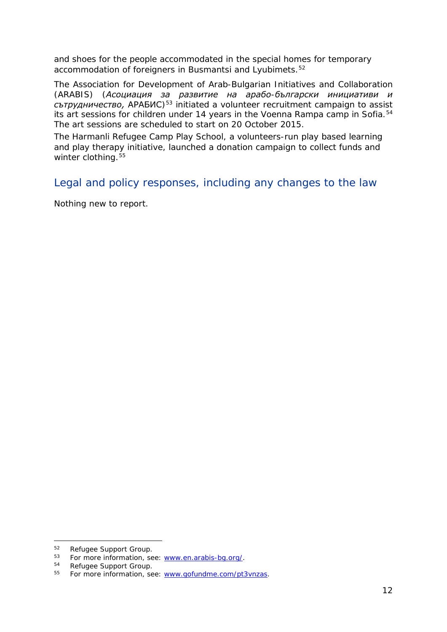<span id="page-11-2"></span>and shoes for the people accommodated in the special homes for temporary accommodation of foreigners in Busmantsi and Lyubimets.<sup>[52](#page-11-0)</sup>

The Association for Development of Arab-Bulgarian Initiatives and Collaboration (ARABIS) (*Асоциация за развитие на арабо-български инициативи и сътрудничество,* АРАБИС)[53](#page-11-1) initiated a volunteer recruitment campaign to assist its art sessions for children under 14 years in the Voenna Rampa camp in Sofia.<sup>[54](#page-11-2)</sup> The art sessions are scheduled to start on 20 October 2015.

The Harmanli Refugee Camp Play School, a volunteers-run play based learning and play therapy initiative, launched a donation campaign to collect funds and winter clothing.<sup>[55](#page-11-3)</sup>

Legal and policy responses, including any changes to the law

Nothing new to report.

<sup>&</sup>lt;sup>52</sup> Refugee Support Group.

<span id="page-11-1"></span><span id="page-11-0"></span><sup>53</sup> For more information, see: [www.en.arabis-bg.org/.](http://www.en.arabis-bg.org/)

Refugee Support Group.

<span id="page-11-3"></span><sup>55</sup> For more information, see: [www.gofundme.com/pt3vnzas.](http://www.gofundme.com/pt3vnzas)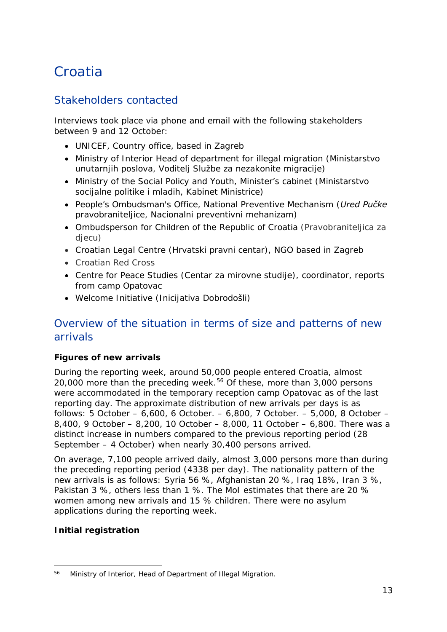## <span id="page-12-0"></span>**Croatia**

### Stakeholders contacted

Interviews took place via phone and email with the following stakeholders between 9 and 12 October:

- UNICEF, Country office, based in Zagreb
- Ministry of Interior Head of department for illegal migration (*Ministarstvo unutarnjih poslova, Voditelj Službe za nezakonite migracije*)
- Ministry of the Social Policy and Youth, Minister's cabinet (*Ministarstvo socijalne politike i mladih, Kabinet Ministrice*)
- People's Ombudsman's Office, National Preventive Mechanism (*Ured Pučke pravobraniteljice, Nacionalni preventivni mehanizam*)
- Ombudsperson for Children of the Republic of Croatia (*Pravobraniteljica za djecu*)
- Croatian Legal Centre (*Hrvatski pravni centar*), NGO based in Zagreb
- Croatian Red Cross
- Centre for Peace Studies (*Centar za mirovne studije*), coordinator, reports from camp Opatovac
- Welcome Initiative (*Inicijativa Dobrodošli*)

#### Overview of the situation in terms of size and patterns of new arrivals

#### **Figures of new arrivals**

During the reporting week, around 50,000 people entered Croatia, almost 20,000 more than the preceding week.<sup>[56](#page-12-1)</sup> Of these, more than 3,000 persons were accommodated in the temporary reception camp Opatovac as of the last reporting day. The approximate distribution of new arrivals per days is as follows: 5 October – 6,600, 6 October. – 6,800, 7 October. – 5,000, 8 October – 8,400, 9 October – 8,200, 10 October – 8,000, 11 October – 6,800. There was a distinct increase in numbers compared to the previous reporting period (28 September – 4 October) when nearly 30,400 persons arrived.

On average, 7,100 people arrived daily, almost 3,000 persons more than during the preceding reporting period (4338 per day). The nationality pattern of the new arrivals is as follows: Syria 56 %, Afghanistan 20 %, Iraq 18%, Iran 3 %, Pakistan 3 %, others less than 1 %. The MoI estimates that there are 20 % women among new arrivals and 15 % children. There were no asylum applications during the reporting week.

#### **Initial registration**

<span id="page-12-1"></span><sup>56</sup> Ministry of Interior, Head of Department of Illegal Migration. -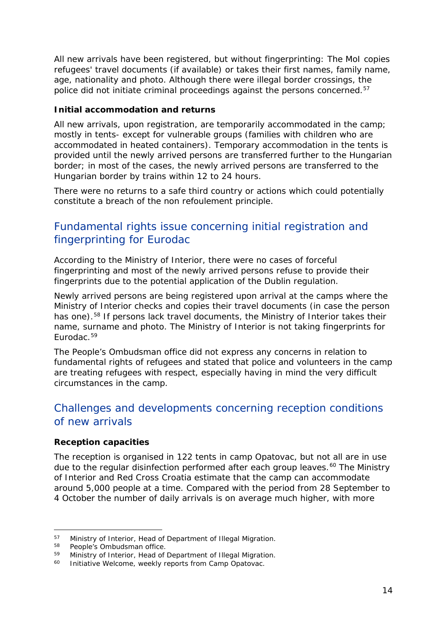<span id="page-13-2"></span>All new arrivals have been registered, but without fingerprinting: The MoI copies refugees' travel documents (if available) or takes their first names, family name, age, nationality and photo. Although there were illegal border crossings, the police did not initiate criminal proceedings against the persons concerned.<sup>[57](#page-13-0)</sup>

#### **Initial accommodation and returns**

All new arrivals, upon registration, are temporarily accommodated in the camp; mostly in tents- except for vulnerable groups (families with children who are accommodated in heated containers). Temporary accommodation in the tents is provided until the newly arrived persons are transferred further to the Hungarian border; in most of the cases, the newly arrived persons are transferred to the Hungarian border by trains within 12 to 24 hours.

There were no returns to a safe third country or actions which could potentially constitute a breach of the *non refoulement* principle.

### Fundamental rights issue concerning initial registration and fingerprinting for Eurodac

According to the Ministry of Interior, there were no cases of forceful fingerprinting and most of the newly arrived persons refuse to provide their fingerprints due to the potential application of the Dublin regulation.

Newly arrived persons are being registered upon arrival at the camps where the Ministry of Interior checks and copies their travel documents (in case the person has one).<sup>[58](#page-13-1)</sup> If persons lack travel documents, the Ministry of Interior takes their name, surname and photo. The Ministry of Interior is not taking fingerprints for Eurodac.<sup>[59](#page-13-2)</sup>

The People's Ombudsman office did not express any concerns in relation to fundamental rights of refugees and stated that police and volunteers in the camp are treating refugees with respect, especially having in mind the very difficult circumstances in the camp.

#### Challenges and developments concerning reception conditions of new arrivals

#### **Reception capacities**

The reception is organised in 122 tents in camp Opatovac, but not all are in use due to the regular disinfection performed after each group leaves.<sup>[60](#page-13-3)</sup> The Ministry of Interior and Red Cross Croatia estimate that the camp can accommodate around 5,000 people at a time. Compared with the period from 28 September to 4 October the number of daily arrivals is on average much higher, with more

<span id="page-13-0"></span><sup>&</sup>lt;sup>57</sup> Ministry of Interior, Head of Department of Illegal Migration.<br><sup>58</sup> People's Ombudsman office

<span id="page-13-1"></span> $58$  People's Ombudsman office.<br> $59$  Ministry of Interior, Head of

<span id="page-13-3"></span><sup>&</sup>lt;sup>59</sup> Ministry of Interior, Head of Department of Illegal Migration.<br><sup>60</sup> Initiative Welsome, weekly reports from Camp Opatovac

Initiative Welcome, weekly reports from Camp Opatovac.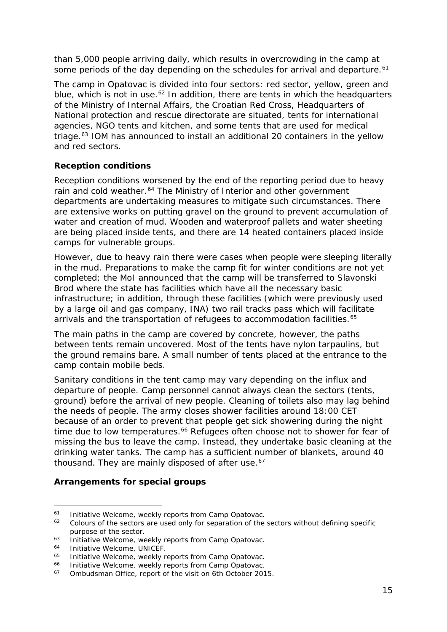<span id="page-14-2"></span>than 5,000 people arriving daily, which results in overcrowding in the camp at some periods of the day depending on the schedules for arrival and departure.<sup>[61](#page-14-0)</sup>

The camp in Opatovac is divided into four sectors: red sector, yellow, green and blue, which is not in use. $62$  In addition, there are tents in which the headquarters of the Ministry of Internal Affairs, the Croatian Red Cross, Headquarters of National protection and rescue directorate are situated, tents for international agencies, NGO tents and kitchen, and some tents that are used for medical triage.<sup>[63](#page-14-2)</sup> IOM has announced to install an additional 20 containers in the yellow and red sectors.

#### **Reception conditions**

Reception conditions worsened by the end of the reporting period due to heavy rain and cold weather.<sup>[64](#page-14-3)</sup> The Ministry of Interior and other government departments are undertaking measures to mitigate such circumstances. There are extensive works on putting gravel on the ground to prevent accumulation of water and creation of mud. Wooden and waterproof pallets and water sheeting are being placed inside tents, and there are 14 heated containers placed inside camps for vulnerable groups.

However, due to heavy rain there were cases when people were sleeping literally in the mud. Preparations to make the camp fit for winter conditions are not yet completed; the MoI announced that the camp will be transferred to Slavonski Brod where the state has facilities which have all the necessary basic infrastructure; in addition, through these facilities (which were previously used by a large oil and gas company, INA) two rail tracks pass which will facilitate arrivals and the transportation of refugees to accommodation facilities.<sup>[65](#page-14-4)</sup>

The main paths in the camp are covered by concrete, however, the paths between tents remain uncovered. Most of the tents have nylon tarpaulins, but the ground remains bare. A small number of tents placed at the entrance to the camp contain mobile beds.

Sanitary conditions in the tent camp may vary depending on the influx and departure of people. Camp personnel cannot always clean the sectors (tents, ground) before the arrival of new people. Cleaning of toilets also may lag behind the needs of people. The army closes shower facilities around 18:00 CET because of an order to prevent that people get sick showering during the night time due to low temperatures.<sup>[66](#page-14-5)</sup> Refugees often choose not to shower for fear of missing the bus to leave the camp. Instead, they undertake basic cleaning at the drinking water tanks. The camp has a sufficient number of blankets, around 40 thousand. They are mainly disposed of after use.<sup>[67](#page-14-2)</sup>

#### **Arrangements for special groups**

<span id="page-14-0"></span><sup>&</sup>lt;sup>61</sup> Initiative Welcome, weekly reports from Camp Opatovac.<br> $\frac{62}{2}$  Colours of the sectors are used only for separation of the

<span id="page-14-1"></span><sup>62</sup> Colours of the sectors are used only for separation of the sectors without defining specific purpose of the sector.

<sup>&</sup>lt;sup>63</sup> Initiative Welcome, weekly reports from Camp Opatovac.<br><sup>64</sup> Initiative Welcome, UNICEE

<span id="page-14-3"></span> $^{64}$  Initiative Welcome, UNICEF.<br> $^{65}$  Initiative Welcome, weekly re

<span id="page-14-4"></span><sup>&</sup>lt;sup>65</sup> Initiative Welcome, weekly reports from Camp Opatovac.<br><sup>66</sup> Initiative Welcome, weekly reports from Camp Opatovac.

<span id="page-14-5"></span><sup>&</sup>lt;sup>66</sup> Initiative Welcome, weekly reports from Camp Opatovac.<br><sup>67</sup> Ombudsman Office, report of the visit on 6th October 2015.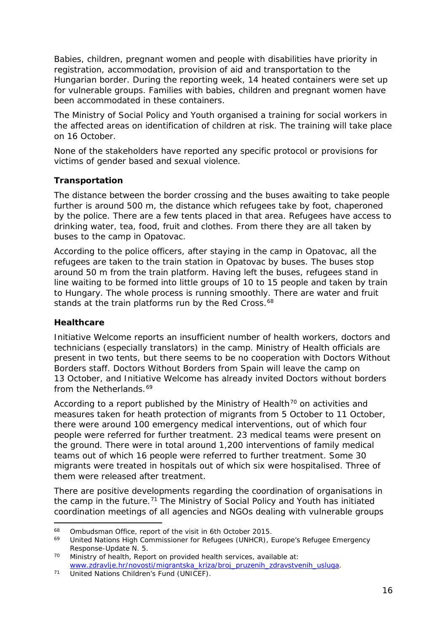Babies, children, pregnant women and people with disabilities have priority in registration, accommodation, provision of aid and transportation to the Hungarian border. During the reporting week, 14 heated containers were set up for vulnerable groups. Families with babies, children and pregnant women have been accommodated in these containers.

The Ministry of Social Policy and Youth organised a training for social workers in the affected areas on identification of children at risk. The training will take place on 16 October.

None of the stakeholders have reported any specific protocol or provisions for victims of gender based and sexual violence.

#### **Transportation**

The distance between the border crossing and the buses awaiting to take people further is around 500 m, the distance which refugees take by foot, chaperoned by the police. There are a few tents placed in that area. Refugees have access to drinking water, tea, food, fruit and clothes. From there they are all taken by buses to the camp in Opatovac.

According to the police officers, after staying in the camp in Opatovac, all the refugees are taken to the train station in Opatovac by buses. The buses stop around 50 m from the train platform. Having left the buses, refugees stand in line waiting to be formed into little groups of 10 to 15 people and taken by train to Hungary. The whole process is running smoothly. There are water and fruit stands at the train platforms run by the Red Cross.<sup>[68](#page-15-0)</sup>

#### **Healthcare**

Initiative Welcome reports an insufficient number of health workers, doctors and technicians (especially translators) in the camp. Ministry of Health officials are present in two tents, but there seems to be no cooperation with Doctors Without Borders staff. Doctors Without Borders from Spain will leave the camp on 13 October, and Initiative Welcome has already invited Doctors without borders from the Netherlands.<sup>[69](#page-15-1)</sup>

According to a report published by the Ministry of Health<sup>[70](#page-15-2)</sup> on activities and measures taken for heath protection of migrants from 5 October to 11 October, there were around 100 emergency medical interventions, out of which four people were referred for further treatment. 23 medical teams were present on the ground. There were in total around 1,200 interventions of family medical teams out of which 16 people were referred to further treatment. Some 30 migrants were treated in hospitals out of which six were hospitalised. Three of them were released after treatment.

There are positive developments regarding the coordination of organisations in the camp in the future. $71$  The Ministry of Social Policy and Youth has initiated coordination meetings of all agencies and NGOs dealing with vulnerable groups

<span id="page-15-0"></span><sup>&</sup>lt;sup>68</sup> Ombudsman Office, report of the visit in 6th October 2015.<br><sup>69</sup> United Nations High Commissioner for Petugees (UNHCP) 68

<span id="page-15-1"></span><sup>69</sup> United Nations High Commissioner for Refugees (UNHCR), *Europe's Refugee Emergency Response*-Update N. 5.

<span id="page-15-2"></span> $70$  Ministry of health, Report on provided health services, available at: [www.zdravlje.hr/novosti/migrantska\\_kriza/broj\\_pruzenih\\_zdravstvenih\\_usluga.](http://www.zdravlje.hr/novosti/migrantska_kriza/broj_pruzenih_zdravstvenih_usluga)<br><sup>71</sup> United Nations Children's Fund (UNICEF).

<span id="page-15-3"></span>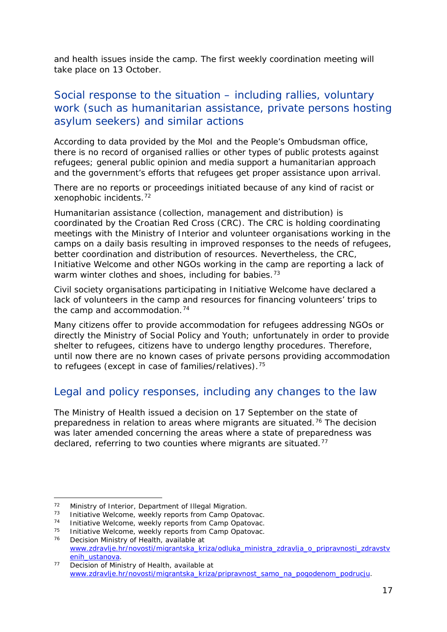<span id="page-16-5"></span>and health issues inside the camp. The first weekly coordination meeting will take place on 13 October.

### Social response to the situation – including rallies, voluntary work (such as humanitarian assistance, private persons hosting asylum seekers) and similar actions

According to data provided by the MoI and the People's Ombudsman office, there is no record of organised rallies or other types of public protests against refugees; general public opinion and media support a humanitarian approach and the government's efforts that refugees get proper assistance upon arrival.

There are no reports or proceedings initiated because of any kind of racist or xenophobic incidents.[72](#page-16-0)

Humanitarian assistance (collection, management and distribution) is coordinated by the Croatian Red Cross (CRC). The CRC is holding coordinating meetings with the Ministry of Interior and volunteer organisations working in the camps on a daily basis resulting in improved responses to the needs of refugees, better coordination and distribution of resources. Nevertheless, the CRC, Initiative Welcome and other NGOs working in the camp are reporting a lack of warm winter clothes and shoes, including for babies.<sup>[73](#page-16-1)</sup>

Civil society organisations participating in Initiative Welcome have declared a lack of volunteers in the camp and resources for financing volunteers' trips to the camp and accommodation.<sup>[74](#page-16-2)</sup>

Many citizens offer to provide accommodation for refugees addressing NGOs or directly the Ministry of Social Policy and Youth; unfortunately in order to provide shelter to refugees, citizens have to undergo lengthy procedures. Therefore, until now there are no known cases of private persons providing accommodation to refugees (except in case of families/relatives).<sup>[75](#page-16-3)</sup>

### Legal and policy responses, including any changes to the law

The Ministry of Health issued a decision on 17 September on the state of preparedness in relation to areas where migrants are situated.<sup>[76](#page-16-4)</sup> The decision was later amended concerning the areas where a state of preparedness was declared, referring to two counties where migrants are situated.<sup>[77](#page-16-5)</sup>

 $72$ 

<span id="page-16-0"></span><sup>72</sup> Ministry of Interior, Department of Illegal Migration.<br>73 Initiative Welcome, weekly reports from Camp Opatovac.<br>74 Initiative Welcome, weekly reports from Camp Opatovac.

<span id="page-16-2"></span><span id="page-16-1"></span><sup>&</sup>lt;sup>74</sup> Initiative Welcome, weekly reports from Camp Opatovac.<br><sup>75</sup> Initiative Welcome, weekly reports from Camp Opatovac.

<span id="page-16-4"></span><span id="page-16-3"></span><sup>&</sup>lt;sup>75</sup> Initiative Welcome, weekly reports from Camp Opatovac.<br><sup>76</sup> Decision Ministry of Health, available at

Decision Ministry of Health, available at [www.zdravlje.hr/novosti/migrantska\\_kriza/odluka\\_ministra\\_zdravlja\\_o\\_pripravnosti\\_zdravstv](http://www.zdravlje.hr/novosti/migrantska_kriza/odluka_ministra_zdravlja_o_pripravnosti_zdravstvenih_ustanova) [enih\\_ustanova.](http://www.zdravlje.hr/novosti/migrantska_kriza/odluka_ministra_zdravlja_o_pripravnosti_zdravstvenih_ustanova)

<sup>&</sup>lt;sup>77</sup> Decision of Ministry of Health, available at [www.zdravlje.hr/novosti/migrantska\\_kriza/pripravnost\\_samo\\_na\\_pogodenom\\_podrucju.](http://www.zdravlje.hr/novosti/migrantska_kriza/pripravnost_samo_na_pogodenom_podrucju)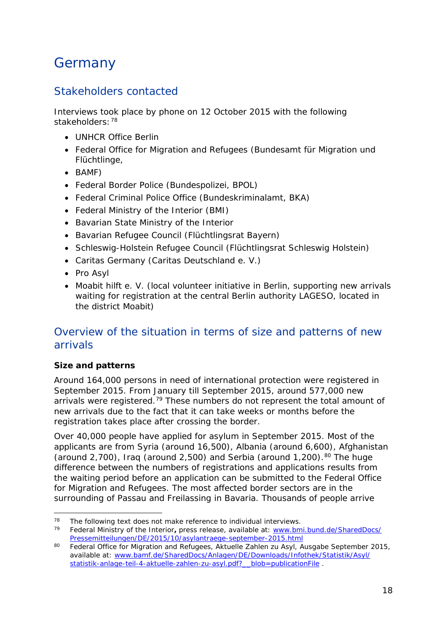## <span id="page-17-0"></span>**Germany**

### Stakeholders contacted

Interviews took place by phone on 12 October 2015 with the following stakeholders: [78](#page-17-1)

- UNHCR Office Berlin
- Federal Office for Migration and Refugees (*Bundesamt für Migration und Flüchtlinge,*
- *BAMF*)
- Federal Border Police (*Bundespolizei, BPOL*)
- Federal Criminal Police Office (*Bundeskriminalamt, BKA*)
- Federal Ministry of the Interior (*BMI*)
- Bavarian State Ministry of the Interior
- Bavarian Refugee Council (*Flüchtlingsrat Bayern*)
- Schleswig-Holstein Refugee Council (*Flüchtlingsrat Schleswig Holstein*)
- Caritas Germany (*Caritas Deutschland e. V.*)
- Pro Asyl
- Moabit hilft e. V. (local volunteer initiative in Berlin, supporting new arrivals waiting for registration at the central Berlin authority LAGESO, located in the district Moabit)

### Overview of the situation in terms of size and patterns of new arrivals

#### **Size and patterns**

Around 164,000 persons in need of international protection were registered in September 2015. From January till September 2015, around 577,000 new arrivals were registered.<sup>[79](#page-17-2)</sup> These numbers do not represent the total amount of new arrivals due to the fact that it can take weeks or months before the registration takes place after crossing the border.

Over 40,000 people have applied for asylum in September 2015. Most of the applicants are from Syria (around 16,500), Albania (around 6,600), Afghanistan (around 2,700), Iraq (around 2,500) and Serbia (around 1,200).<sup>[80](#page-17-3)</sup> The huge difference between the numbers of registrations and applications results from the waiting period before an application can be submitted to the Federal Office for Migration and Refugees. The most affected border sectors are in the surrounding of Passau and Freilassing in Bavaria. Thousands of people arrive

<span id="page-17-1"></span><sup>&</sup>lt;sup>78</sup> The following text does not make reference to individual interviews.<br> $^{79}$  Eoderal Ministry of the Interior, press release, available at: www.br j.

<span id="page-17-2"></span><sup>79</sup> Federal Ministry of the Interior**,** press release, available at: [www.bmi.bund.de/SharedDocs/](http://www.bmi.bund.de/SharedDocs/Pressemitteilungen/DE/2015/10/asylantraege-september-2015.html) [Pressemitteilungen/DE/2015/10/asylantraege-september-2015.html](http://www.bmi.bund.de/SharedDocs/Pressemitteilungen/DE/2015/10/asylantraege-september-2015.html)

<span id="page-17-3"></span><sup>80</sup> Federal Office for Migration and Refugees, *Aktuelle Zahlen zu Asyl*, Ausgabe September 2015, available at: [www.bamf.de/SharedDocs/Anlagen/DE/Downloads/Infothek/Statistik/Asyl/](http://www.bamf.de/SharedDocs/Anlagen/DE/Downloads/Infothek/Statistik/Asyl/statistik-anlage-teil-4-aktuelle-zahlen-zu-asyl.pdf?__blob=publicationFile) [statistik-anlage-teil-4-aktuelle-zahlen-zu-asyl.pdf?\\_\\_blob=publicationFile](http://www.bamf.de/SharedDocs/Anlagen/DE/Downloads/Infothek/Statistik/Asyl/statistik-anlage-teil-4-aktuelle-zahlen-zu-asyl.pdf?__blob=publicationFile) .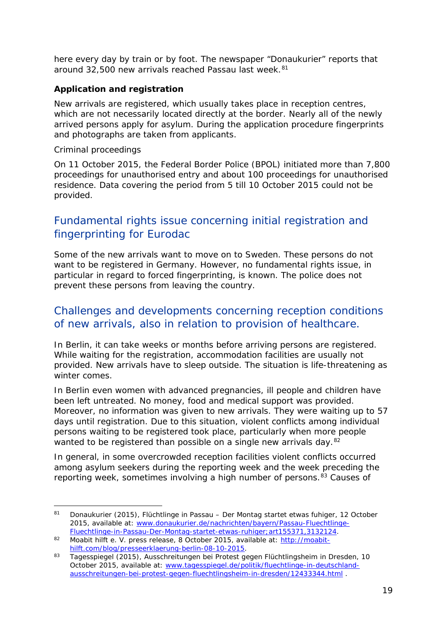here every day by train or by foot. The newspaper "Donaukurier" reports that around 32,500 new arrivals reached Passau last week.<sup>[81](#page-18-0)</sup>

#### **Application and registration**

New arrivals are registered, which usually takes place in reception centres, which are not necessarily located directly at the border. Nearly all of the newly arrived persons apply for asylum. During the application procedure fingerprints and photographs are taken from applicants.

Criminal proceedings

-

On 11 October 2015, the Federal Border Police (BPOL) initiated more than 7,800 proceedings for unauthorised entry and about 100 proceedings for unauthorised residence. Data covering the period from 5 till 10 October 2015 could not be provided.

#### Fundamental rights issue concerning initial registration and fingerprinting for Eurodac

Some of the new arrivals want to move on to Sweden. These persons do not want to be registered in Germany. However, no fundamental rights issue, in particular in regard to forced fingerprinting, is known. The police does not prevent these persons from leaving the country.

### Challenges and developments concerning reception conditions of new arrivals, also in relation to provision of healthcare.

In Berlin, it can take weeks or months before arriving persons are registered. While waiting for the registration, accommodation facilities are usually not provided. New arrivals have to sleep outside. The situation is life-threatening as winter comes.

In Berlin even women with advanced pregnancies, ill people and children have been left untreated. No money, food and medical support was provided. Moreover, no information was given to new arrivals. They were waiting up to 57 days until registration. Due to this situation, violent conflicts among individual persons waiting to be registered took place, particularly when more people wanted to be registered than possible on a single new arrivals day.<sup>[82](#page-18-1)</sup>

In general, in some overcrowded reception facilities violent conflicts occurred among asylum seekers during the reporting week and the week preceding the reporting week, sometimes involving a high number of persons.<sup>[83](#page-18-2)</sup> Causes of

<span id="page-18-0"></span><sup>81</sup> Donaukurier (2015), *Flüchtlinge in Passau – Der Montag startet etwas fuhiger*, 12 October 2015, available at: [www.donaukurier.de/nachrichten/bayern/Passau-Fluechtlinge-](http://www.donaukurier.de/nachrichten/bayern/Passau-Fluechtlinge-Fluechtlinge-in-Passau-Der-Montag-startet-etwas-ruhiger;art155371,3132124)[Fluechtlinge-in-Passau-Der-Montag-startet-etwas-ruhiger;art155371,3132124.](http://www.donaukurier.de/nachrichten/bayern/Passau-Fluechtlinge-Fluechtlinge-in-Passau-Der-Montag-startet-etwas-ruhiger;art155371,3132124)

<span id="page-18-1"></span><sup>82</sup> Moabit hilft e. V. press release, 8 October 2015, available at: [http://moabit](http://moabit-hilft.com/blog/presseerklaerung-berlin-08-10-2015)[hilft.com/blog/presseerklaerung-berlin-08-10-2015.](http://moabit-hilft.com/blog/presseerklaerung-berlin-08-10-2015)

<span id="page-18-2"></span><sup>83</sup> Tagesspiegel (2015), *Ausschreitungen bei Protest gegen Flüchtlingsheim in Dresden*, 10 October 2015, available at: [www.tagesspiegel.de/politik/fluechtlinge-in-deutschland](http://www.tagesspiegel.de/politik/fluechtlinge-in-deutschland-ausschreitungen-bei-protest-gegen-fluechtlingsheim-in-dresden/12433344.html)[ausschreitungen-bei-protest-gegen-fluechtlingsheim-in-dresden/12433344.html](http://www.tagesspiegel.de/politik/fluechtlinge-in-deutschland-ausschreitungen-bei-protest-gegen-fluechtlingsheim-in-dresden/12433344.html) .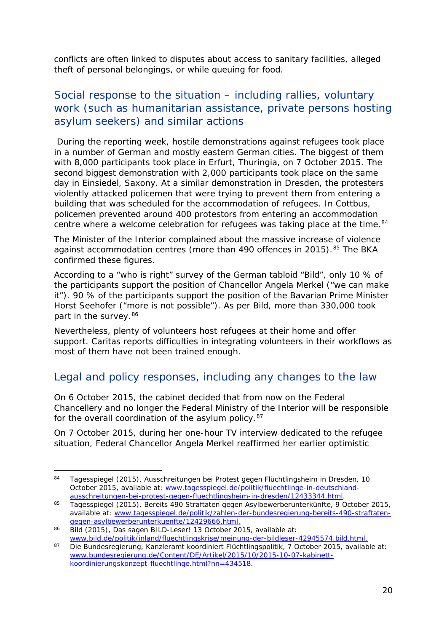conflicts are often linked to disputes about access to sanitary facilities, alleged theft of personal belongings, or while queuing for food.

### Social response to the situation – including rallies, voluntary work (such as humanitarian assistance, private persons hosting asylum seekers) and similar actions

During the reporting week, hostile demonstrations against refugees took place in a number of German and mostly eastern German cities. The biggest of them with 8,000 participants took place in Erfurt, Thuringia, on 7 October 2015. The second biggest demonstration with 2,000 participants took place on the same day in Einsiedel, Saxony. At a similar demonstration in Dresden, the protesters violently attacked policemen that were trying to prevent them from entering a building that was scheduled for the accommodation of refugees. In Cottbus, policemen prevented around 400 protestors from entering an accommodation centre where a welcome celebration for refugees was taking place at the time.<sup>[84](#page-19-0)</sup>

The Minister of the Interior complained about the massive increase of violence against accommodation centres (more than 490 offences in 2015).<sup>[85](#page-19-1)</sup> The BKA confirmed these figures.

According to a "who is right" survey of the German tabloid "Bild", only 10 % of the participants support the position of Chancellor Angela Merkel ("we can make it"). 90 % of the participants support the position of the Bavarian Prime Minister Horst Seehofer ("more is not possible"). As per Bild, more than 330,000 took part in the survey. [86](#page-19-2)

Nevertheless, plenty of volunteers host refugees at their home and offer support. Caritas reports difficulties in integrating volunteers in their workflows as most of them have not been trained enough.

### Legal and policy responses, including any changes to the law

On 6 October 2015, the cabinet decided that from now on the Federal Chancellery and no longer the Federal Ministry of the Interior will be responsible for the overall coordination of the asylum policy.<sup>[87](#page-19-3)</sup>

On 7 October 2015, during her one-hour TV interview dedicated to the refugee situation, Federal Chancellor Angela Merkel reaffirmed her earlier optimistic

<span id="page-19-0"></span><sup>84</sup> Tagesspiegel (2015), *Ausschreitungen bei Protest gegen Flüchtlingsheim in Dresden*, 10 October 2015, available at: [www.tagesspiegel.de/politik/fluechtlinge-in-deutschland](http://www.tagesspiegel.de/politik/fluechtlinge-in-deutschland-ausschreitungen-bei-protest-gegen-fluechtlingsheim-in-dresden/12433344.html)[ausschreitungen-bei-protest-gegen-fluechtlingsheim-in-dresden/12433344.html.](http://www.tagesspiegel.de/politik/fluechtlinge-in-deutschland-ausschreitungen-bei-protest-gegen-fluechtlingsheim-in-dresden/12433344.html) -

<span id="page-19-1"></span><sup>85</sup> Tagesspiegel (2015), *Bereits 490 Straftaten gegen Asylbewerberunterkünfte,* 9 October 2015, available at: [www.tagesspiegel.de/politik/zahlen-der-bundesregierung-bereits-490-straftaten](http://www.tagesspiegel.de/politik/zahlen-der-bundesregierung-bereits-490-straftaten-gegen-asylbewerberunterkuenfte/12429666.html)[gegen-asylbewerberunterkuenfte/12429666.html.](http://www.tagesspiegel.de/politik/zahlen-der-bundesregierung-bereits-490-straftaten-gegen-asylbewerberunterkuenfte/12429666.html)

<span id="page-19-2"></span><sup>86</sup> Bild (2015), *Das sagen BILD-Leser!* 13 October 2015, available at: [www.bild.de/politik/inland/fluechtlingskrise/meinung-der-bildleser-42945574.bild.html.](http://www.bild.de/politik/inland/fluechtlingskrise/meinung-der-bildleser-42945574.bild.html)

<span id="page-19-3"></span><sup>87</sup> Die Bundesregierung, *Kanzleramt koordiniert Flüchtlingspolitik*, 7 October 2015, available at: [www.bundesregierung.de/Content/DE/Artikel/2015/10/2015-10-07-kabinett](http://www.bundesregierung.de/Content/DE/Artikel/2015/10/2015-10-07-kabinett-koordinierungskonzept-fluechtlinge.html?nn=434518)[koordinierungskonzept-fluechtlinge.html?nn=434518.](http://www.bundesregierung.de/Content/DE/Artikel/2015/10/2015-10-07-kabinett-koordinierungskonzept-fluechtlinge.html?nn=434518)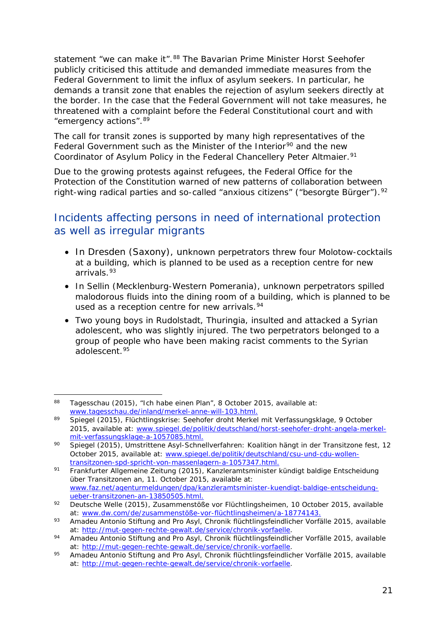<span id="page-20-3"></span>statement "we can make it".<sup>[88](#page-20-0)</sup> The Bavarian Prime Minister Horst Seehofer publicly criticised this attitude and demanded immediate measures from the Federal Government to limit the influx of asylum seekers. In particular, he demands a transit zone that enables the rejection of asylum seekers directly at the border. In the case that the Federal Government will not take measures, he threatened with a complaint before the Federal Constitutional court and with "emergency actions". [89](#page-20-1)

The call for transit zones is supported by many high representatives of the Federal Government such as the Minister of the Interior<sup>[90](#page-20-2)</sup> and the new Coordinator of Asylum Policy in the Federal Chancellery Peter Altmaier.<sup>[91](#page-20-3)</sup>

Due to the growing protests against refugees, the Federal Office for the Protection of the Constitution warned of new patterns of collaboration between right-wing radical parties and so-called "anxious citizens" ("*besorgte Bürger*").<sup>92</sup>

### Incidents affecting persons in need of international protection as well as irregular migrants

- In Dresden (Saxony), unknown perpetrators threw four Molotow-cocktails at a building, which is planned to be used as a reception centre for new arrivals<sup>[93](#page-20-5)</sup>
- In Sellin (Mecklenburg-Western Pomerania), unknown perpetrators spilled malodorous fluids into the dining room of a building, which is planned to be used as a reception centre for new arrivals.<sup>[94](#page-20-6)</sup>
- Two young boys in Rudolstadt, Thuringia, insulted and attacked a Syrian adolescent, who was slightly injured. The two perpetrators belonged to a group of people who have been making racist comments to the Syrian adolescent.<sup>[95](#page-20-7)</sup>

<span id="page-20-0"></span><sup>88</sup> Tagesschau (2015), *"Ich habe einen Plan"*, 8 October 2015, available at: [www.tagesschau.de/inland/merkel-anne-will-103.html.](http://www.tagesschau.de/inland/merkel-anne-will-103.html) -

<span id="page-20-1"></span><sup>89</sup> Spiegel (2015), *Flüchtlingskrise: Seehofer droht Merkel mit Verfassungsklage*, 9 October 2015, available at: [www.spiegel.de/politik/deutschland/horst-seehofer-droht-angela-merkel](http://www.spiegel.de/politik/deutschland/horst-seehofer-droht-angela-merkel-mit-verfassungsklage-a-1057085.html)[mit-verfassungsklage-a-1057085.html.](http://www.spiegel.de/politik/deutschland/horst-seehofer-droht-angela-merkel-mit-verfassungsklage-a-1057085.html)

<span id="page-20-2"></span><sup>90</sup> Spiegel (2015), *Umstrittene Asyl-Schnellverfahren: Koalition hängt in der Transitzone fest*, 12 October 2015, available at: [www.spiegel.de/politik/deutschland/csu-und-cdu-wollen](http://www.spiegel.de/politik/deutschland/csu-und-cdu-wollen-transitzonen-spd-spricht-von-massenlagern-a-1057347.html)[transitzonen-spd-spricht-von-massenlagern-a-1057347.html.](http://www.spiegel.de/politik/deutschland/csu-und-cdu-wollen-transitzonen-spd-spricht-von-massenlagern-a-1057347.html)

<sup>91</sup> Frankfurter Allgemeine Zeitung (2015), *Kanzleramtsminister kündigt baldige Entscheidung über Transitzonen an,* 11. October 2015, available at: [www.faz.net/agenturmeldungen/dpa/kanzleramtsminister-kuendigt-baldige-entscheidung](http://www.faz.net/agenturmeldungen/dpa/kanzleramtsminister-kuendigt-baldige-entscheidung-ueber-transitzonen-an-13850505.html)[ueber-transitzonen-an-13850505.html.](http://www.faz.net/agenturmeldungen/dpa/kanzleramtsminister-kuendigt-baldige-entscheidung-ueber-transitzonen-an-13850505.html)

<span id="page-20-4"></span><sup>92</sup> Deutsche Welle (2015), *Zusammenstöße vor Flüchtlingsheimen,* 10 October 2015, available at: [www.dw.com/de/zusammenstöße-vor-flüchtlingsheimen/a-18774143.](http://www.dw.com/de/zusammenst%C3%B6%C3%9Fe-vor-fl%C3%BCchtlingsheimen/a-18774143)

<span id="page-20-5"></span><sup>93</sup> Amadeu Antonio Stiftung and Pro Asyl, *Chronik flüchtlingsfeindlicher Vorfälle 2015*, available at: [http://mut-gegen-rechte-gewalt.de/service/chronik-vorfaelle.](http://mut-gegen-rechte-gewalt.de/service/chronik-vorfaelle)

<span id="page-20-6"></span><sup>94</sup> Amadeu Antonio Stiftung and Pro Asyl, *Chronik flüchtlingsfeindlicher Vorfälle 2015*, available at: [http://mut-gegen-rechte-gewalt.de/service/chronik-vorfaelle.](http://mut-gegen-rechte-gewalt.de/service/chronik-vorfaelle)

<span id="page-20-7"></span><sup>95</sup> Amadeu Antonio Stiftung and Pro Asyl, *Chronik flüchtlingsfeindlicher Vorfälle 2015*, available at: [http://mut-gegen-rechte-gewalt.de/service/chronik-vorfaelle.](http://mut-gegen-rechte-gewalt.de/service/chronik-vorfaelle)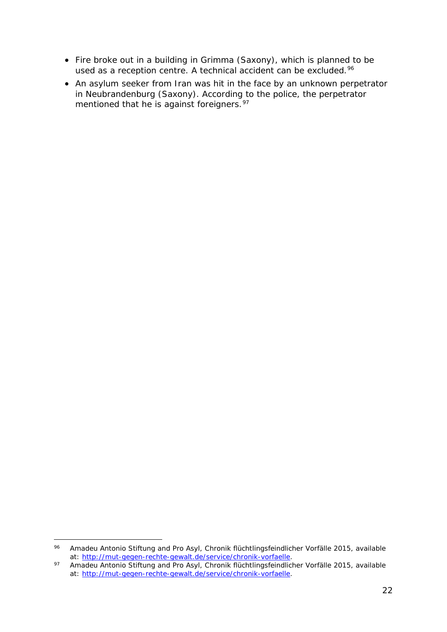- Fire broke out in a building in Grimma (Saxony), which is planned to be used as a reception centre. A technical accident can be excluded.<sup>[96](#page-21-0)</sup>
- An asylum seeker from Iran was hit in the face by an unknown perpetrator in Neubrandenburg (Saxony). According to the police, the perpetrator mentioned that he is against foreigners.<sup>[97](#page-21-1)</sup>

<span id="page-21-0"></span><sup>96</sup> Amadeu Antonio Stiftung and Pro Asyl, *Chronik flüchtlingsfeindlicher Vorfälle 2015*, available at: [http://mut-gegen-rechte-gewalt.de/service/chronik-vorfaelle.](http://mut-gegen-rechte-gewalt.de/service/chronik-vorfaelle) 96

<span id="page-21-1"></span><sup>97</sup> Amadeu Antonio Stiftung and Pro Asyl, *Chronik flüchtlingsfeindlicher Vorfälle 2015*, available at: [http://mut-gegen-rechte-gewalt.de/service/chronik-vorfaelle.](http://mut-gegen-rechte-gewalt.de/service/chronik-vorfaelle)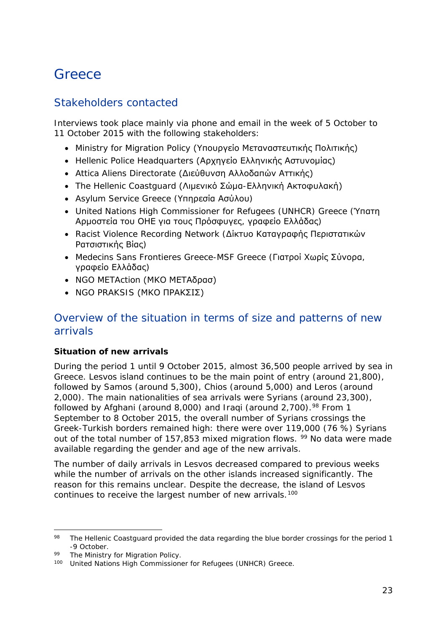## <span id="page-22-0"></span>**Greece**

### Stakeholders contacted

Interviews took place mainly via phone and email in the week of 5 October to 11 October 2015 with the following stakeholders:

- Ministry for Migration Policy (Υπουργείο Μεταναστευτικής Πολιτικής)
- Hellenic Police Headquarters (Αρχηγείο Ελληνικής Αστυνομίας)
- Attica Aliens Directorate (Διεύθυνση Αλλοδαπών Αττικής)
- The Hellenic Coastguard (Λιμενικό Σώμα-Ελληνική Ακτοφυλακή)
- Asylum Service Greece (Υπηρεσία Ασύλου)
- United Nations High Commissioner for Refugees (UNHCR) Greece (Ύπατη Αρμοστεία του ΟΗΕ για τους Πρόσφυγες, γραφείο Ελλάδας)
- Racist Violence Recording Network (Δίκτυο Καταγραφής Περιστατικών Ρατσιστικής Βίας)
- Medecins Sans Frontieres Greece-MSF Greece (Γιατροί Χωρίς Σύνορα, γραφείο Ελλάδας)
- NGO METAction (ΜΚΟ ΜΕΤΑδρασ)
- NGO PRAKSIS (ΜΚΟ ΠΡΑΚΣΙΣ)

### Overview of the situation in terms of size and patterns of new arrivals

#### **Situation of new arrivals**

During the period 1 until 9 October 2015, almost 36,500 people arrived by sea in Greece. Lesvos island continues to be the main point of entry (around 21,800), followed by Samos (around 5,300), Chios (around 5,000) and Leros (around 2,000). The main nationalities of sea arrivals were Syrians (around 23,300), followed by Afghani (around 8,000) and Iraqi (around 2,700).<sup>[98](#page-22-1)</sup> From 1 September to 8 October 2015, the overall number of Syrians crossings the Greek-Turkish borders remained high: there were over 119,000 (76 %) Syrians out of the total number of 157,853 mixed migration flows. <sup>[99](#page-22-2)</sup> No data were made available regarding the gender and age of the new arrivals.

The number of daily arrivals in Lesvos decreased compared to previous weeks while the number of arrivals on the other islands increased significantly. The reason for this remains unclear. Despite the decrease, the island of Lesvos continues to receive the largest number of new arrivals.<sup>[100](#page-22-3)</sup>

<span id="page-22-1"></span><sup>98</sup> The Hellenic Coastguard provided the data regarding the blue border crossings for the period 1 -9 October. j,

<span id="page-22-2"></span><sup>99</sup> The Ministry for Migration Policy.

<span id="page-22-3"></span><sup>100</sup> United Nations High Commissioner for Refugees (UNHCR) Greece.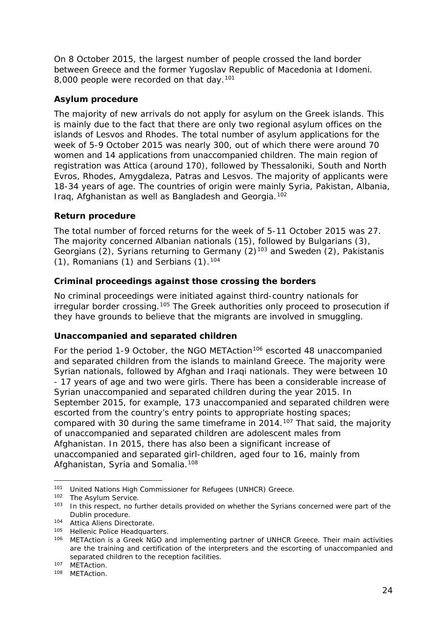<span id="page-23-3"></span>On 8 October 2015, the largest number of people crossed the land border between Greece and the former Yugoslav Republic of Macedonia at Idomeni. 8,000 people were recorded on that day.<sup>[101](#page-23-0)</sup>

#### **Asylum procedure**

The majority of new arrivals do not apply for asylum on the Greek islands. This is mainly due to the fact that there are only two regional asylum offices on the islands of Lesvos and Rhodes. The total number of asylum applications for the week of 5-9 October 2015 was nearly 300, out of which there were around 70 women and 14 applications from unaccompanied children. The main region of registration was Attica (around 170), followed by Thessaloniki, South and North Evros, Rhodes, Amygdaleza, Patras and Lesvos. The majority of applicants were 18-34 years of age. The countries of origin were mainly Syria, Pakistan, Albania, Iraq, Afghanistan as well as Bangladesh and Georgia.[102](#page-23-1)

#### **Return procedure**

The total number of forced returns for the week of 5-11 October 2015 was 27. The majority concerned Albanian nationals (15), followed by Bulgarians (3), Georgians (2), Syrians returning to Germany  $(2)^{103}$  $(2)^{103}$  $(2)^{103}$  and Sweden (2), Pakistanis  $(1)$ , Romanians  $(1)$  and Serbians  $(1)$ .<sup>[104](#page-23-3)</sup>

#### **Criminal proceedings against those crossing the borders**

No criminal proceedings were initiated against third-country nationals for irregular border crossing.<sup>[105](#page-23-4)</sup> The Greek authorities only proceed to prosecution if they have grounds to believe that the migrants are involved in smuggling.

#### **Unaccompanied and separated children**

For the period 1-9 October, the NGO METAction<sup>[106](#page-23-5)</sup> escorted 48 unaccompanied and separated children from the islands to mainland Greece. The majority were Syrian nationals, followed by Afghan and Iraqi nationals. They were between 10 - 17 years of age and two were girls. There has been a considerable increase of Syrian unaccompanied and separated children during the year 2015. In September 2015, for example, 173 unaccompanied and separated children were escorted from the country's entry points to appropriate hosting spaces; compared with 30 during the same timeframe in 2014.<sup>[107](#page-23-3)</sup> That said, the majority of unaccompanied and separated children are adolescent males from Afghanistan. In 2015, there has also been a significant increase of unaccompanied and separated girl-children, aged four to 16, mainly from Afghanistan, Syria and Somalia.<sup>[108](#page-23-3)</sup>

<span id="page-23-0"></span><sup>101</sup> United Nations High Commissioner for Refugees (UNHCR) Greece.<br>102 The Asylum Service  $101$ 

<span id="page-23-2"></span><span id="page-23-1"></span> $102$  The Asylum Service.<br> $103$  In this respect no fi

In this respect, no further details provided on whether the Syrians concerned were part of the Dublin procedure.

<sup>104</sup> Attica Aliens Directorate.

<span id="page-23-4"></span><sup>105</sup> Hellenic Police Headquarters.

<span id="page-23-5"></span><sup>106</sup> METAction is a Greek NGO and implementing partner of UNHCR Greece. Their main activities are the training and certification of the interpreters and the escorting of unaccompanied and separated children to the reception facilities.

<sup>107</sup> METAction.

<sup>108</sup> METAction.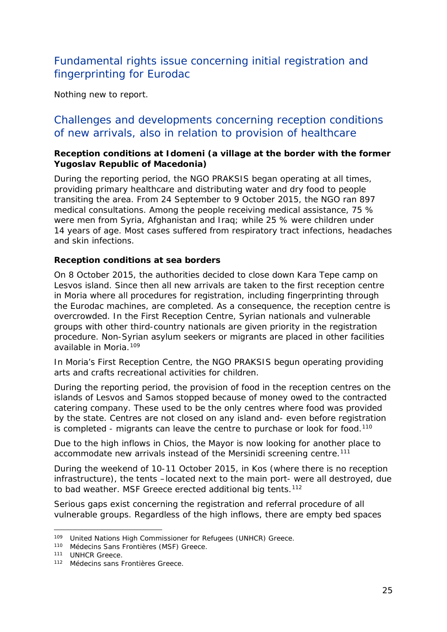### Fundamental rights issue concerning initial registration and fingerprinting for Eurodac

Nothing new to report.

#### Challenges and developments concerning reception conditions of new arrivals, also in relation to provision of healthcare

#### **Reception conditions at Idomeni (a village at the border with the former Yugoslav Republic of Macedonia)**

During the reporting period, the NGO PRAKSIS began operating at all times, providing primary healthcare and distributing water and dry food to people transiting the area. From 24 September to 9 October 2015, the NGO ran 897 medical consultations. Among the people receiving medical assistance, 75 % were men from Syria, Afghanistan and Iraq; while 25 % were children under 14 years of age. Most cases suffered from respiratory tract infections, headaches and skin infections.

#### **Reception conditions at sea borders**

On 8 October 2015, the authorities decided to close down Kara Tepe camp on Lesvos island. Since then all new arrivals are taken to the first reception centre in Moria where all procedures for registration, including fingerprinting through the Eurodac machines, are completed. As a consequence, the reception centre is overcrowded. In the First Reception Centre, Syrian nationals and vulnerable groups with other third-country nationals are given priority in the registration procedure. Non-Syrian asylum seekers or migrants are placed in other facilities available in Moria.<sup>[109](#page-24-0)</sup>

In Moria's First Reception Centre, the NGO PRAKSIS begun operating providing arts and crafts recreational activities for children.

During the reporting period, the provision of food in the reception centres on the islands of Lesvos and Samos stopped because of money owed to the contracted catering company. These used to be the only centres where food was provided by the state. Centres are not closed on any island and- even before registration is completed - migrants can leave the centre to purchase or look for food.<sup>[110](#page-24-1)</sup>

Due to the high inflows in Chios, the Mayor is now looking for another place to accommodate new arrivals instead of the Mersinidi screening centre.<sup>[111](#page-24-2)</sup>

During the weekend of 10-11 October 2015, in Kos (where there is no reception infrastructure), the tents –located next to the main port- were all destroyed, due to bad weather. MSF Greece erected additional big tents.<sup>[112](#page-24-3)</sup>

Serious gaps exist concerning the registration and referral procedure of all vulnerable groups. Regardless of the high inflows, there are empty bed spaces

j,

<span id="page-24-0"></span><sup>109</sup> United Nations High Commissioner for Refugees (UNHCR) Greece.

<span id="page-24-1"></span><sup>110</sup> Médecins Sans Frontières (MSF) Greece.

<span id="page-24-2"></span><sup>&</sup>lt;sup>111</sup> UNHCR Greece.

<span id="page-24-3"></span><sup>112</sup> Médecins sans Frontières Greece.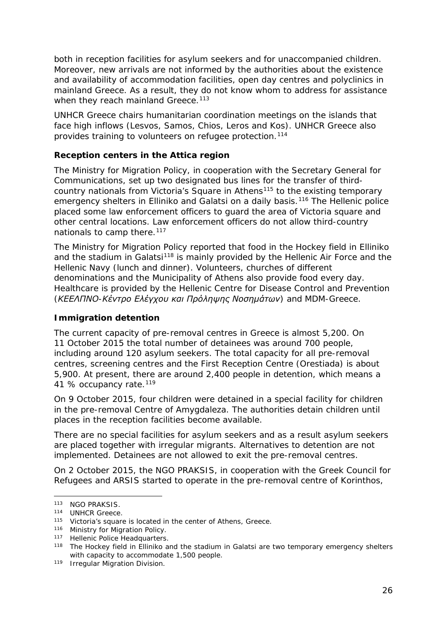<span id="page-25-3"></span>both in reception facilities for asylum seekers and for unaccompanied children. Moreover, new arrivals are not informed by the authorities about the existence and availability of accommodation facilities, open day centres and polyclinics in mainland Greece. As a result, they do not know whom to address for assistance when they reach mainland Greece.<sup>[113](#page-25-0)</sup>

UNHCR Greece chairs humanitarian coordination meetings on the islands that face high inflows (Lesvos, Samos, Chios, Leros and Kos). UNHCR Greece also provides training to volunteers on refugee protection.[114](#page-25-1)

#### **Reception centers in the Attica region**

The Ministry for Migration Policy, in cooperation with the Secretary General for Communications, set up two designated bus lines for the transfer of third-country nationals from Victoria's Square in Athens<sup>[115](#page-25-2)</sup> to the existing temporary emergency shelters in Elliniko and Galatsi on a daily basis.<sup>[116](#page-25-3)</sup> The Hellenic police placed some law enforcement officers to guard the area of Victoria square and other central locations. Law enforcement officers do not allow third-country nationals to camp there.<sup>[117](#page-25-3)</sup>

The Ministry for Migration Policy reported that food in the Hockey field in Elliniko and the stadium in Galatsi<sup>[118](#page-25-4)</sup> is mainly provided by the Hellenic Air Force and the Hellenic Navy (lunch and dinner). Volunteers, churches of different denominations and the Municipality of Athens also provide food every day. Healthcare is provided by the Hellenic Centre for Disease Control and Prevention *(ΚΕΕΛΠΝΟ-Κέντρο Ελέγχου και Πρόληψης Νοσημάτων)* and MDM-Greece.

#### **Immigration detention**

The current capacity of pre-removal centres in Greece is almost 5,200. On 11 October 2015 the total number of detainees was around 700 people, including around 120 asylum seekers. The total capacity for all pre-removal centres, screening centres and the First Reception Centre (Orestiada) is about 5,900. At present, there are around 2,400 people in detention, which means a 41 % occupancy rate.<sup>[119](#page-25-5)</sup>

On 9 October 2015, four children were detained in a special facility for children in the pre-removal Centre of Amygdaleza. The authorities detain children until places in the reception facilities become available.

There are no special facilities for asylum seekers and as a result asylum seekers are placed together with irregular migrants. Alternatives to detention are not implemented. Detainees are not allowed to exit the pre-removal centres.

On 2 October 2015, the NGO PRAKSIS, in cooperation with the Greek Council for Refugees and ARSIS started to operate in the pre-removal centre of Korinthos,

j,

<span id="page-25-0"></span><sup>113</sup> NGO PRAKSIS.

<span id="page-25-1"></span><sup>114</sup> UNHCR Greece.

<span id="page-25-2"></span><sup>115</sup> Victoria's square is located in the center of Athens, Greece.

<sup>116</sup> Ministry for Migration Policy.

<sup>117</sup> Hellenic Police Headquarters.

<span id="page-25-4"></span><sup>&</sup>lt;sup>118</sup> The Hockey field in Elliniko and the stadium in Galatsi are two temporary emergency shelters with capacity to accommodate 1,500 people.

<span id="page-25-5"></span><sup>119</sup> Irregular Migration Division.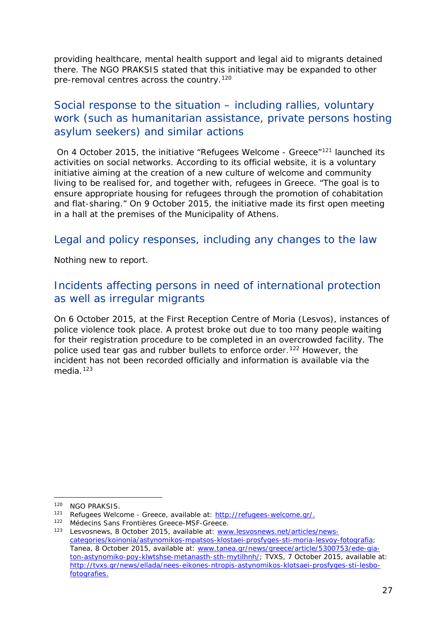<span id="page-26-3"></span>providing healthcare, mental health support and legal aid to migrants detained there. The NGO PRAKSIS stated that this initiative may be expanded to other pre-removal centres across the country.<sup>[120](#page-26-0)</sup>

### Social response to the situation – including rallies, voluntary work (such as humanitarian assistance, private persons hosting asylum seekers) and similar actions

On 4 October 2015, the initiative "Refugees Welcome - Greece"[121](#page-26-1) launched its activities on social networks. According to its official website, it is a voluntary initiative aiming at the creation of a new culture of welcome and community living to be realised for, and together with, refugees in Greece. *"The goal is to ensure appropriate housing for refugees through the promotion of cohabitation and flat-sharing."* On 9 October 2015, the initiative made its first open meeting in a hall at the premises of the Municipality of Athens.

#### Legal and policy responses, including any changes to the law

Nothing new to report.

### Incidents affecting persons in need of international protection as well as irregular migrants

On 6 October 2015, at the First Reception Centre of Moria (Lesvos), instances of police violence took place. A protest broke out due to too many people waiting for their registration procedure to be completed in an overcrowded facility. The police used tear gas and rubber bullets to enforce order.<sup>[122](#page-26-2)</sup> However, the incident has not been recorded officially and information is available via the media.<sup>[123](#page-26-3)</sup>

<span id="page-26-0"></span><sup>120</sup> NGO PRAKSIS.

<span id="page-26-1"></span><sup>121</sup> Refugees Welcome - Greece, available at: [http://refugees-welcome.gr/.](http://refugees-welcome.gr/)

<span id="page-26-2"></span><sup>122</sup> Médecins Sans Frontières Greece-MSF-Greece.

<sup>123</sup> Lesvosnews, 8 October 2015, available at: [www.lesvosnews.net/articles/news](http://www.lesvosnews.net/articles/news-categories/koinonia/astynomikos-mpatsos-klostaei-prosfyges-sti-moria-lesvoy-fotografia)[categories/koinonia/astynomikos-mpatsos-klostaei-prosfyges-sti-moria-lesvoy-fotografia;](http://www.lesvosnews.net/articles/news-categories/koinonia/astynomikos-mpatsos-klostaei-prosfyges-sti-moria-lesvoy-fotografia) Tanea, 8 October 2015, available at: [www.tanea.gr/news/greece/article/5300753/ede-gia](http://www.tanea.gr/news/greece/article/5300753/ede-gia-ton-astynomiko-poy-klwtshse-metanasth-sth-mytilhnh/)[ton-astynomiko-poy-klwtshse-metanasth-sth-mytilhnh/;](http://www.tanea.gr/news/greece/article/5300753/ede-gia-ton-astynomiko-poy-klwtshse-metanasth-sth-mytilhnh/) TVXS, 7 October 2015, available at: http://tvxs.gr/news/ellada/nees-eikones-ntropis-astynomikos-klotsaei-prosfyges-sti-lesbofotografies.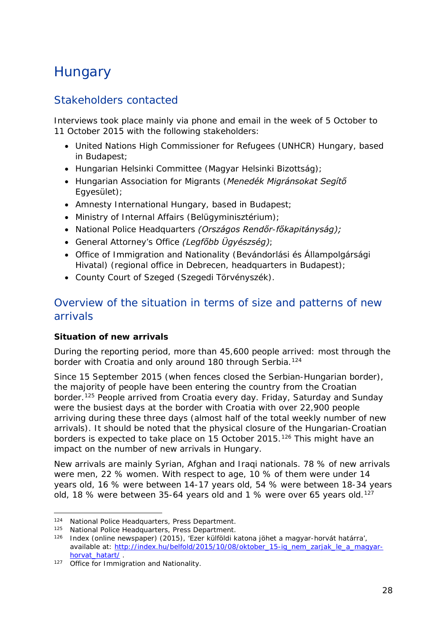## <span id="page-27-0"></span>**Hungary**

### Stakeholders contacted

Interviews took place mainly via phone and email in the week of 5 October to 11 October 2015 with the following stakeholders:

- United Nations High Commissioner for Refugees (UNHCR) Hungary, based in Budapest;
- Hungarian Helsinki Committee (*Magyar Helsinki Bizottság)*;
- Hungarian Association for Migrants (*Menedék Migránsokat Segítő Egyesület)*;
- Amnesty International Hungary, based in Budapest;
- Ministry of Internal Affairs (*Belügyminisztérium)*;
- National Police Headquarters *(Országos Rendőr-főkapitányság);*
- General Attorney's Office *(Legfőbb Ügyészség)*;
- Office of Immigration and Nationality (*Bevándorlási és Állampolgársági Hivatal*) (regional office in Debrecen, headquarters in Budapest);
- County Court of Szeged (*Szegedi Törvényszék).*

### Overview of the situation in terms of size and patterns of new arrivals

#### **Situation of new arrivals**

During the reporting period, more than 45,600 people arrived: most through the border with Croatia and only around 180 through Serbia.<sup>[124](#page-27-1)</sup>

Since 15 September 2015 (when fences closed the Serbian-Hungarian border), the majority of people have been entering the country from the Croatian border.[125](#page-27-2) People arrived from Croatia every day. Friday, Saturday and Sunday were the busiest days at the border with Croatia with over 22,900 people arriving during these three days (almost half of the total weekly number of new arrivals). It should be noted that the physical closure of the Hungarian-Croatian borders is expected to take place on 15 October 2015.<sup>[126](#page-27-3)</sup> This might have an impact on the number of new arrivals in Hungary.

New arrivals are mainly Syrian, Afghan and Iraqi nationals. 78 % of new arrivals were men, 22 % women. With respect to age, 10 % of them were under 14 years old, 16 % were between 14-17 years old, 54 % were between 18-34 years old, 18 % were between 35-64 years old and 1 % were over 65 years old.<sup>[127](#page-27-4)</sup>

<sup>124</sup> National Police Headquarters, Press Department. j,

<span id="page-27-2"></span><span id="page-27-1"></span><sup>125</sup> National Police Headquarters, Press Department.

<span id="page-27-3"></span><sup>126</sup> Index (online newspaper) (2015), '*Ezer külföldi katona jöhet a magyar-horvát határra*', available at: [http://index.hu/belfold/2015/10/08/oktober\\_15-ig\\_nem\\_zarjak\\_le\\_a\\_magyar](http://index.hu/belfold/2015/10/08/oktober_15-ig_nem_zarjak_le_a_magyar-horvat_hatart/)horvat\_hatart/ .<br>127 Office for Immigration and Nationality.

<span id="page-27-4"></span>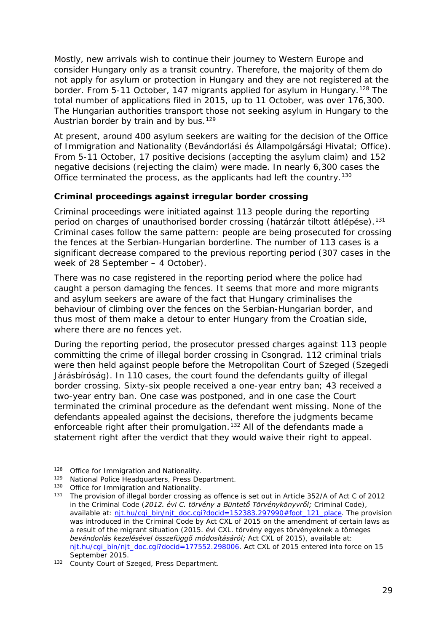<span id="page-28-1"></span>Mostly, new arrivals wish to continue their journey to Western Europe and consider Hungary only as a transit country. Therefore, the majority of them do not apply for asylum or protection in Hungary and they are not registered at the border. From 5-11 October, 147 migrants applied for asylum in Hungary.<sup>[128](#page-28-0)</sup> The total number of applications filed in 2015, up to 11 October, was over 176,300. The Hungarian authorities transport those not seeking asylum in Hungary to the Austrian border by train and by bus.<sup>[129](#page-28-1)</sup>

At present, around 400 asylum seekers are waiting for the decision of the Office of Immigration and Nationality (*Bevándorlási és Állampolgársági Hivatal;* Office). From 5-11 October, 17 positive decisions (accepting the asylum claim) and 152 negative decisions (rejecting the claim) were made. In nearly 6,300 cases the Office terminated the process, as the applicants had left the country.<sup>[130](#page-28-2)</sup>

#### **Criminal proceedings against irregular border crossing**

Criminal proceedings were initiated against 113 people during the reporting period on charges of unauthorised border crossing (*határzár tiltott átlépése*).[131](#page-28-3) Criminal cases follow the same pattern: people are being prosecuted for crossing the fences at the Serbian-Hungarian borderline. The number of 113 cases is a significant decrease compared to the previous reporting period (307 cases in the week of 28 September – 4 October).

There was no case registered in the reporting period where the police had caught a person damaging the fences. It seems that more and more migrants and asylum seekers are aware of the fact that Hungary criminalises the behaviour of climbing over the fences on the Serbian-Hungarian border, and thus most of them make a detour to enter Hungary from the Croatian side, where there are no fences yet.

During the reporting period, the prosecutor pressed charges against 113 people committing the crime of illegal border crossing in Csongrad. 112 criminal trials were then held against people before the Metropolitan Court of Szeged (*Szegedi Járásbíróság)*. In 110 cases, the court found the defendants guilty of illegal border crossing. Sixty-six people received a one-year entry ban; 43 received a two-year entry ban. One case was postponed, and in one case the Court terminated the criminal procedure as the defendant went missing. None of the defendants appealed against the decisions, therefore the judgments became enforceable right after their promulgation.<sup>[132](#page-28-4)</sup> All of the defendants made a statement right after the verdict that they would waive their right to appeal.

<span id="page-28-0"></span><sup>128</sup> Office for Immigration and Nationality.

<sup>129</sup> National Police Headquarters, Press Department.

<span id="page-28-2"></span><sup>130</sup> Office for Immigration and Nationality.

<span id="page-28-3"></span><sup>131</sup> The provision of illegal border crossing as offence is set out in Article 352/A of Act C of 2012 in the Criminal Code (*2012. évi C. törvény a Büntető Törvénykönyvről;* Criminal Code), available at: nit.hu/cgi\_bin/njt\_doc.cgi?docid=152383.297990#foot\_121\_place. The provision was introduced in the Criminal Code by Act CXL of 2015 on the amendment of certain laws as a result of the migrant situation (*2015. évi CXL. törvény egyes törvényeknek a tömeges bevándorlás kezelésével összefüggő módosításáról;* Act CXL of 2015), available at: [njt.hu/cgi\\_bin/njt\\_doc.cgi?docid=177552.298006.](http://njt.hu/cgi_bin/njt_doc.cgi?docid=177552.298006) Act CXL of 2015 entered into force on 15 September 2015.

<span id="page-28-4"></span><sup>132</sup> County Court of Szeged, Press Department.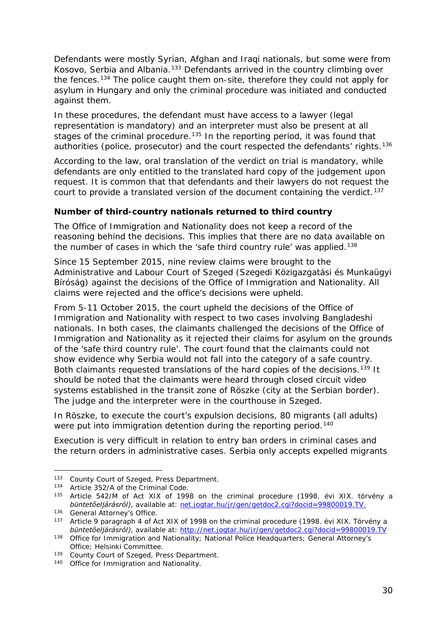<span id="page-29-1"></span>Defendants were mostly Syrian, Afghan and Iraqi nationals, but some were from Kosovo, Serbia and Albania.<sup>[133](#page-29-0)</sup> Defendants arrived in the country climbing over the fences.<sup>[134](#page-29-1)</sup> The police caught them on-site, therefore they could not apply for asylum in Hungary and only the criminal procedure was initiated and conducted against them.

In these procedures, the defendant must have access to a lawyer (legal representation is mandatory) and an interpreter must also be present at all stages of the criminal procedure.<sup>135</sup> In the reporting period, it was found that authorities (police, prosecutor) and the court respected the defendants' rights.<sup>[136](#page-29-1)</sup>

According to the law, oral translation of the verdict on trial is mandatory, while defendants are only entitled to the translated hard copy of the judgement upon request. It is common that that defendants and their lawyers do not request the court to provide a translated version of the document containing the verdict.<sup>[137](#page-29-3)</sup>

#### **Number of third-country nationals returned to third country**

The Office of Immigration and Nationality does not keep a record of the reasoning behind the decisions. This implies that there are no data available on the number of cases in which the 'safe third country rule' was applied.<sup>[138](#page-29-4)</sup>

Since 15 September 2015, nine review claims were brought to the Administrative and Labour Court of Szeged (*Szegedi Közigazgatási és Munkaügyi Bíróság)* against the decisions of the Office of Immigration and Nationality. All claims were rejected and the office's decisions were upheld.

From 5-11 October 2015, the court upheld the decisions of the Office of Immigration and Nationality with respect to two cases involving Bangladeshi nationals. In both cases, the claimants challenged the decisions of the Office of Immigration and Nationality as it rejected their claims for asylum on the grounds of the 'safe third country rule'. The court found that the claimants could not show evidence why Serbia would not fall into the category of a safe country. Both claimants requested translations of the hard copies of the decisions.<sup>[139](#page-29-5)</sup> It should be noted that the claimants were heard through closed circuit video systems established in the transit zone of Röszke (city at the Serbian border). The judge and the interpreter were in the courthouse in Szeged.

In Röszke, to execute the court's expulsion decisions, 80 migrants (all adults) were put into immigration detention during the reporting period.<sup>[140](#page-29-6)</sup>

Execution is very difficult in relation to entry ban orders in criminal cases and the return orders in administrative cases. Serbia only accepts expelled migrants

<sup>133</sup> County Court of Szeged, Press Department. -

<span id="page-29-0"></span><sup>134</sup> Article 352/A of the Criminal Code.

<span id="page-29-2"></span><sup>135</sup> Article 542/M of Act XIX of 1998 on the criminal procedure (*1998. évi XIX. törvény a büntetőeljárásról)*, available at: net.jogtar.hu/jr/gen/getdoc2.cgi?docid=99800019.TV.

<sup>136</sup> General Attorney's Office.

<span id="page-29-3"></span><sup>137</sup> Article 9 paragraph 4 of Act XIX of 1998 on the criminal procedure (*1998. évi XIX. Törvény a büntetőeljárásról)*, available at:<http://net.jogtar.hu/jr/gen/getdoc2.cgi?docid=99800019.TV>

<span id="page-29-4"></span><sup>&</sup>lt;sup>138</sup> Office for Immigration and Nationality; National Police Headquarters; General Attorney's Office; Helsinki Committee.

<span id="page-29-5"></span><sup>139</sup> County Court of Szeged, Press Department.

<span id="page-29-6"></span><sup>140</sup> Office for Immigration and Nationality.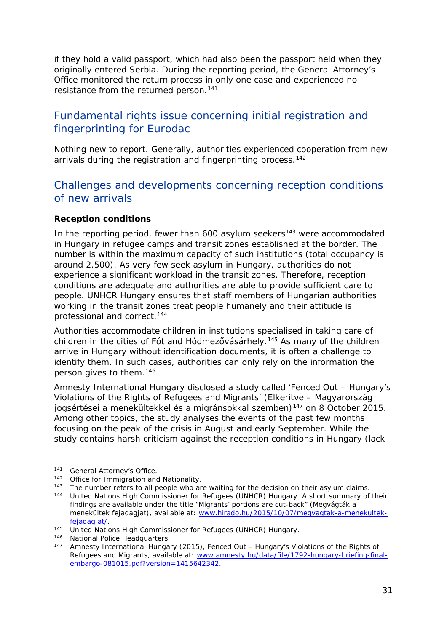<span id="page-30-3"></span>if they hold a valid passport, which had also been the passport held when they originally entered Serbia. During the reporting period, the General Attorney's Office monitored the return process in only one case and experienced no resistance from the returned person.<sup>[141](#page-30-0)</sup>

### Fundamental rights issue concerning initial registration and fingerprinting for Eurodac

Nothing new to report. Generally, authorities experienced cooperation from new arrivals during the registration and fingerprinting process.<sup>[142](#page-30-1)</sup>

### Challenges and developments concerning reception conditions of new arrivals

#### **Reception conditions**

In the reporting period, fewer than  $600$  asylum seekers<sup>[143](#page-30-2)</sup> were accommodated in Hungary in refugee camps and transit zones established at the border. The number is within the maximum capacity of such institutions (total occupancy is around 2,500). As very few seek asylum in Hungary, authorities do not experience a significant workload in the transit zones. Therefore, reception conditions are adequate and authorities are able to provide sufficient care to people. UNHCR Hungary ensures that staff members of Hungarian authorities working in the transit zones treat people humanely and their attitude is professional and correct.[144](#page-30-3)

Authorities accommodate children in institutions specialised in taking care of children in the cities of Fót and Hódmezővásárhely.<sup>[145](#page-30-4)</sup> As many of the children arrive in Hungary without identification documents, it is often a challenge to identify them. In such cases, authorities can only rely on the information the person gives to them.[146](#page-30-3)

Amnesty International Hungary disclosed a study called 'Fenced Out – Hungary's Violations of the Rights of Refugees and Migrants' (*Elkerítve – Magyarország jogsértései a menekültekkel és a migránsokkal szemben)*[147](#page-30-5) on 8 October 2015. Among other topics, the study analyses the events of the past few months focusing on the peak of the crisis in August and early September. While the study contains harsh criticism against the reception conditions in Hungary (lack

<span id="page-30-0"></span><sup>141</sup> General Attorney's Office.

<span id="page-30-1"></span><sup>142</sup> Office for Immigration and Nationality.

<span id="page-30-2"></span><sup>&</sup>lt;sup>143</sup> The number refers to all people who are waiting for the decision on their asylum claims.

<sup>144</sup> United Nations High Commissioner for Refugees (UNHCR) Hungary. A short summary of their findings are available under the title "Migrants' portions are cut-back" (*Megvágták a menekültek fejadagját)*, available at: www.hirado.hu/2015/10/07/megvagtak-a-menekultekfejadagjat/. 145 United Nations High Commissioner for Refugees (UNHCR) Hungary.

<span id="page-30-4"></span><sup>146</sup> National Police Headquarters.

<span id="page-30-5"></span><sup>147</sup> Amnesty International Hungary (2015), *Fenced Out – Hungary's Violations of the Rights of Refugees and Migrants*, available at: [www.amnesty.hu/data/file/1792-hungary-briefing-final](http://www.amnesty.hu/data/file/1792-hungary-briefing-final-embargo-081015.pdf?version=1415642342)[embargo-081015.pdf?version=1415642342.](http://www.amnesty.hu/data/file/1792-hungary-briefing-final-embargo-081015.pdf?version=1415642342)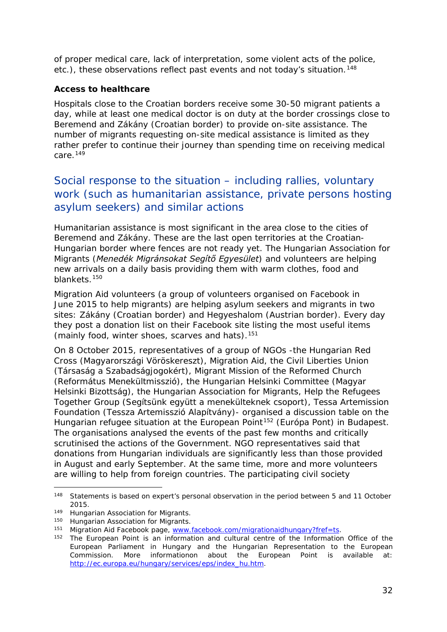of proper medical care, lack of interpretation, some violent acts of the police, etc.), these observations reflect past events and not today's situation.<sup>[148](#page-31-0)</sup>

#### **Access to healthcare**

Hospitals close to the Croatian borders receive some 30-50 migrant patients a day, while at least one medical doctor is on duty at the border crossings close to Beremend and Zákány (Croatian border) to provide on-site assistance. The number of migrants requesting on-site medical assistance is limited as they rather prefer to continue their journey than spending time on receiving medical care. $149$ 

### Social response to the situation – including rallies, voluntary work (such as humanitarian assistance, private persons hosting asylum seekers) and similar actions

Humanitarian assistance is most significant in the area close to the cities of Beremend and Zákány. These are the last open territories at the Croatian-Hungarian border where fences are not ready yet. The Hungarian Association for Migrants (*Menedék Migránsokat Segítő Egyesület*) and volunteers are helping new arrivals on a daily basis providing them with warm clothes, food and blankets.[150](#page-31-2)

Migration Aid volunteers (a group of volunteers organised on Facebook in June 2015 to help migrants) are helping asylum seekers and migrants in two sites: Zákány (Croatian border) and Hegyeshalom (Austrian border). Every day they post a donation list on their Facebook site listing the most useful items (mainly food, winter shoes, scarves and hats).<sup>151</sup>

On 8 October 2015, representatives of a group of NGOs -the Hungarian Red Cross (*Magyarországi Vöröskereszt)*, Migration Aid, the Civil Liberties Union (*Társaság a Szabadságjogokért),* Migrant Mission of the Reformed Church (*Református Menekültmisszió),* the Hungarian Helsinki Committee (*Magyar Helsinki Bizottság),* the Hungarian Association for Migrants*,* Help the Refugees Together Group (*Segítsünk együtt a menekülteknek csoport),* Tessa Artemission Foundation (*Tessza Artemisszió Alapítvány)-* organised a discussion table on the Hungarian refugee situation at the European Point<sup>[152](#page-31-4)</sup> (*Európa Pont*) in Budapest. The organisations analysed the events of the past few months and critically scrutinised the actions of the Government. NGO representatives said that donations from Hungarian individuals are significantly less than those provided in August and early September. At the same time, more and more volunteers are willing to help from foreign countries. The participating civil society

j,

<span id="page-31-0"></span><sup>148</sup> Statements is based on expert's personal observation in the period between 5 and 11 October 2015.

<span id="page-31-1"></span><sup>149</sup> Hungarian Association for Migrants.

<span id="page-31-2"></span><sup>&</sup>lt;sup>150</sup> Hungarian Association for Migrants.

<span id="page-31-3"></span><sup>151</sup> Migration Aid Facebook page, [www.facebook.com/migrationaidhungary?fref=ts.](http://www.facebook.com/migrationaidhungary?fref=ts)

<span id="page-31-4"></span><sup>&</sup>lt;sup>152</sup> The European Point is an information and cultural centre of the Information Office of the European Parliament in Hungary and the Hungarian Representation to the European Commission. More informationon about the European Point is available at: [http://ec.europa.eu/hungary/services/eps/index\\_hu.htm.](http://ec.europa.eu/hungary/services/eps/index_hu.htm)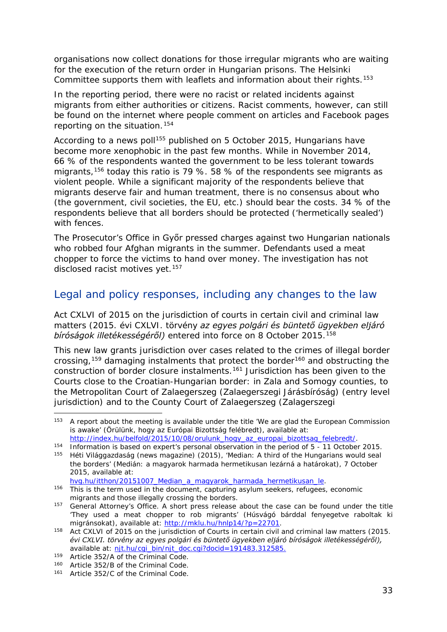<span id="page-32-3"></span>organisations now collect donations for those irregular migrants who are waiting for the execution of the return order in Hungarian prisons. The Helsinki Committee supports them with leaflets and information about their rights.<sup>[153](#page-32-0)</sup>

In the reporting period, there were no racist or related incidents against migrants from either authorities or citizens. Racist comments, however, can still be found on the internet where people comment on articles and Facebook pages reporting on the situation.[154](#page-32-1)

According to a news poll<sup>155</sup> published on 5 October 2015, Hungarians have become more xenophobic in the past few months. While in November 2014, 66 % of the respondents wanted the government to be less tolerant towards migrants,[156](#page-32-3) today this ratio is 79 %. 58 % of the respondents see migrants as violent people. While a significant majority of the respondents believe that migrants deserve fair and human treatment, there is no consensus about who (the government, civil societies, the EU, etc.) should bear the costs. 34 % of the respondents believe that all borders should be protected ('hermetically sealed') with fences.

The Prosecutor's Office in Győr pressed charges against two Hungarian nationals who robbed four Afghan migrants in the summer. Defendants used a meat chopper to force the victims to hand over money. The investigation has not disclosed racist motives yet.<sup>[157](#page-32-4)</sup>

#### Legal and policy responses, including any changes to the law

Act CXLVI of 2015 on the jurisdiction of courts in certain civil and criminal law matters (*2015. évi CXLVI. törvény az egyes polgári és büntető ügyekben eljáró bíróságok illetékességéről)* entered into force on 8 October 2015*.*[158](#page-32-5)

This new law grants jurisdiction over cases related to the crimes of illegal border crossing,<sup>[159](#page-32-6)</sup> damaging instalments that protect the border<sup>[160](#page-32-3)</sup> and obstructing the construction of border closure instalments.[161](#page-32-3) Jurisdiction has been given to the Courts close to the Croatian-Hungarian border: in Zala and Somogy counties, to the Metropolitan Court of Zalaegerszeg (*Zalaegerszegi Járásbíróság*) (entry level jurisdiction) and to the County Court of Zalaegerszeg (*Zalagerszegi* 

<span id="page-32-0"></span><sup>&</sup>lt;sup>153</sup> A report about the meeting is available under the title 'We are glad the European Commission is awake' (*Örülünk, hogy az Európai Bizottság felébredt)*, available at: [http://index.hu/belfold/2015/10/08/orulunk\\_hogy\\_az\\_europai\\_bizottsag\\_felebredt/.](http://index.hu/belfold/2015/10/08/orulunk_hogy_az_europai_bizottsag_felebredt/)

<span id="page-32-2"></span><span id="page-32-1"></span><sup>154</sup> Information is based on expert's personal observation in the period of  $\overline{5}$  - 11 October 2015.<br>155 Háti Világgazdaság (pows magazino) (2015) (Modian: A third of the Hungarians would seal

<sup>155</sup> Héti Világgazdaság (news magazine) (2015), 'Median: A third of the Hungarians would seal the borders' (*Medián: a magyarok harmada hermetikusan lezárná a határokat)*, 7 October 2015, available at: [hvg.hu/itthon/20151007\\_Median\\_a\\_magyarok\\_harmada\\_hermetikusan\\_le.](http://hvg.hu/itthon/20151007_Median_a_magyarok_harmada_hermetikusan_le)

<sup>156</sup> This is the term used in the document, capturing asylum seekers, refugees, economic migrants and those illegally crossing the borders.

<span id="page-32-4"></span><sup>&</sup>lt;sup>157</sup> General Attorney's Office. A short press release about the case can be found under the title 'They used a meat chopper to rob migrants' (*Húsvágó bárddal fenyegetve raboltak ki migránsokat),* available at: [http://mklu.hu/hnlp14/?p=22701.](http://mklu.hu/hnlp14/?p=22701)

<span id="page-32-5"></span><sup>158</sup> Act CXLVI of 2015 on the jurisdiction of Courts in certain civil and criminal law matters (*2015. évi CXLVI. törvény az egyes polgári és büntető ügyekben eljáró bíróságok illetékességéről),*  available at: [njt.hu/cgi\\_bin/njt\\_doc.cgi?docid=191483.312585.](http://njt.hu/cgi_bin/njt_doc.cgi?docid=191483.312585)<br><sup>159</sup> Article 352/A of the Criminal Code.

<span id="page-32-6"></span><sup>160</sup> Article 352/B of the Criminal Code.

<sup>161</sup> Article 352/C of the Criminal Code.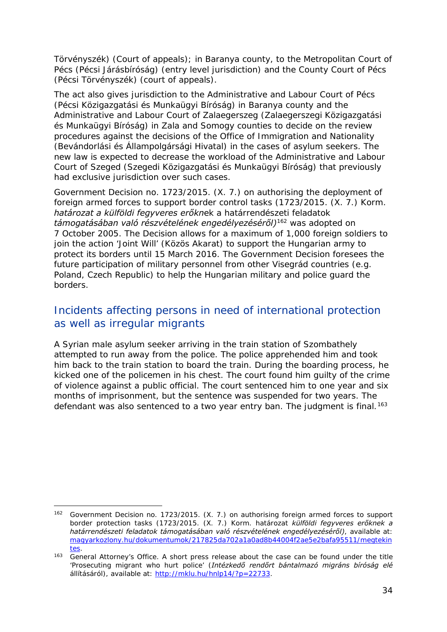*Törvényszék)* (Court of appeals); in Baranya county, to the Metropolitan Court of Pécs (*Pécsi Járásbíróság)* (entry level jurisdiction) and the County Court of Pécs (*Pécsi Törvényszék)* (court of appeals).

The act also gives jurisdiction to the Administrative and Labour Court of Pécs (*Pécsi Közigazgatási és Munkaügyi Bíróság*) in Baranya county and the Administrative and Labour Court of Zalaegerszeg (*Zalaegerszegi Közigazgatási és Munkaügyi Bíróság*) in Zala and Somogy counties to decide on the review procedures against the decisions of the Office of Immigration and Nationality (*Bevándorlási és Állampolgársági Hivatal*) in the cases of asylum seekers. The new law is expected to decrease the workload of the Administrative and Labour Court of Szeged (*Szegedi Közigazgatási és Munkaügyi Bíróság)* that previously had exclusive jurisdiction over such cases.

Government Decision no. 1723/2015. (X. 7.) on authorising the deployment of foreign armed forces to support border control tasks (*1723/2015. (X. 7.) Korm. határozat a külföldi fegyveres erőknek a határrendészeti feladatok támogatásában való részvételének engedélyezéséről)*[162](#page-33-0) was adopted on 7 October 2005. The Decision allows for a maximum of 1,000 foreign soldiers to join the action 'Joint Will' (*Közös Akarat)* to support the Hungarian army to protect its borders until 15 March 2016. The Government Decision foresees the future participation of military personnel from other Visegrád countries (e.g. Poland, Czech Republic) to help the Hungarian military and police guard the borders.

### Incidents affecting persons in need of international protection as well as irregular migrants

A Syrian male asylum seeker arriving in the train station of Szombathely attempted to run away from the police. The police apprehended him and took him back to the train station to board the train. During the boarding process, he kicked one of the policemen in his chest. The court found him guilty of the crime of violence against a public official. The court sentenced him to one year and six months of imprisonment, but the sentence was suspended for two years. The defendant was also sentenced to a two year entry ban. The judgment is final.<sup>[163](#page-33-1)</sup>

<span id="page-33-0"></span><sup>162</sup> Government Decision no. 1723/2015. (X. 7.) on authorising foreign armed forces to support border protection tasks (*1723/2015. (X. 7.) Korm. határozat külföldi fegyveres erőknek a határrendészeti feladatok támogatásában való részvételének engedélyezéséről)*, available at: [magyarkozlony.hu/dokumentumok/217825da702a1a0ad8b44004f2ae5e2bafa95511/megtekin](http://magyarkozlony.hu/dokumentumok/217825da702a1a0ad8b44004f2ae5e2bafa95511/megtekintes) [tes.](http://magyarkozlony.hu/dokumentumok/217825da702a1a0ad8b44004f2ae5e2bafa95511/megtekintes)<br><sup>163</sup> General Attorney's Office. A short press release about the case can be found under the title -

<span id="page-33-1"></span><sup>&#</sup>x27;Prosecuting migrant who hurt police' (*Intézkedő rendőrt bántalmazó migráns bíróság elé állításáról)*, available at: [http://mklu.hu/hnlp14/?p=22733.](http://mklu.hu/hnlp14/?p=22733)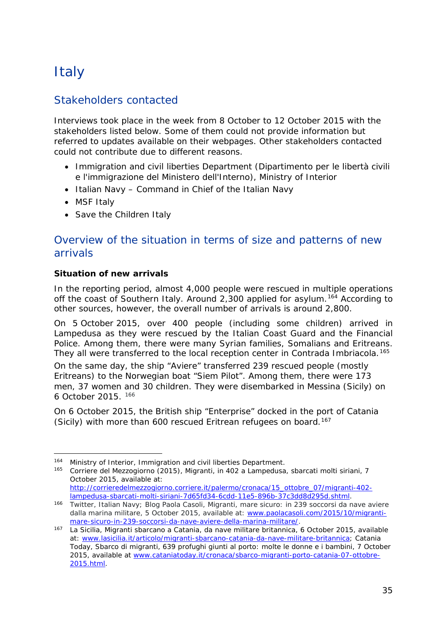## <span id="page-34-0"></span>**Italy**

### Stakeholders contacted

Interviews took place in the week from 8 October to 12 October 2015 with the stakeholders listed below. Some of them could not provide information but referred to updates available on their webpages. Other stakeholders contacted could not contribute due to different reasons.

- Immigration and civil liberties Department (Dipartimento per le libertà civili e l'immigrazione del Ministero dell'Interno), Ministry of Interior
- Italian Navy Command in Chief of the Italian Navy
- MSF Italy
- Save the Children Italy

### Overview of the situation in terms of size and patterns of new arrivals

#### **Situation of new arrivals**

In the reporting period, almost 4,000 people were rescued in multiple operations off the coast of Southern Italy. Around 2,300 applied for asylum.[164](#page-34-1) According to other sources, however, the overall number of arrivals is around 2,800.

On 5 October 2015, over 400 people (including some children) arrived in Lampedusa as they were rescued by the Italian Coast Guard and the Financial Police. Among them, there were many Syrian families, Somalians and Eritreans. They all were transferred to the local reception center in Contrada Imbriacola.<sup>[165](#page-34-2)</sup>

On the same day, the ship "Aviere" transferred 239 rescued people (mostly Eritreans) to the Norwegian boat "Siem Pilot". Among them, there were 173 men, 37 women and 30 children. They were disembarked in Messina (Sicily) on 6 October 2015. [166](#page-34-3)

On 6 October 2015, the British ship "Enterprise" docked in the port of Catania (Sicily) with more than 600 rescued Eritrean refugees on board.<sup>[167](#page-34-4)</sup>

<sup>164</sup> Ministry of Interior, Immigration and civil liberties Department. j,

<span id="page-34-2"></span><span id="page-34-1"></span><sup>165</sup> Corriere del Mezzogiorno (2015), *Migranti, in 402 a Lampedusa, sbarcati molti siriani*, 7 October 2015, available at: [http://corrieredelmezzogiorno.corriere.it/palermo/cronaca/15\\_ottobre\\_07/migranti-402-](http://corrieredelmezzogiorno.corriere.it/palermo/cronaca/15_ottobre_07/migranti-402-lampedusa-sbarcati-molti-siriani-7d65fd34-6cdd-11e5-896b-37c3dd8d295d.shtml)

<span id="page-34-3"></span>[lampedusa-sbarcati-molti-siriani-7d65fd34-6cdd-11e5-896b-37c3dd8d295d.shtml.](http://corrieredelmezzogiorno.corriere.it/palermo/cronaca/15_ottobre_07/migranti-402-lampedusa-sbarcati-molti-siriani-7d65fd34-6cdd-11e5-896b-37c3dd8d295d.shtml) 166 Twitter, Italian Navy; Blog Paola Casoli, *Migranti, mare sicuro: in 239 soccorsi da nave aviere dalla marina militare,* 5 October 2015, available at: [www.paolacasoli.com/2015/10/migranti](http://www.paolacasoli.com/2015/10/migranti-mare-sicuro-in-239-soccorsi-da-nave-aviere-della-marina-militare/)[mare-sicuro-in-239-soccorsi-da-nave-aviere-della-marina-militare/.](http://www.paolacasoli.com/2015/10/migranti-mare-sicuro-in-239-soccorsi-da-nave-aviere-della-marina-militare/)

<span id="page-34-4"></span><sup>167</sup> La Sicilia, *Migranti sbarcano a Catania, da nave militare britannica*, 6 October 2015, available at: [www.lasicilia.it/articolo/migranti-sbarcano-catania-da-nave-militare-britannica;](http://www.lasicilia.it/articolo/migranti-sbarcano-catania-da-nave-militare-britannica) Catania Today, *Sbarco di migranti, 639 profughi giunti al porto: molte le donne e i bambini, 7 October 2015*, available at [www.cataniatoday.it/cronaca/sbarco-migranti-porto-catania-07-ottobre-](http://www.cataniatoday.it/cronaca/sbarco-migranti-porto-catania-07-ottobre-2015.html)[2015.html.](http://www.cataniatoday.it/cronaca/sbarco-migranti-porto-catania-07-ottobre-2015.html)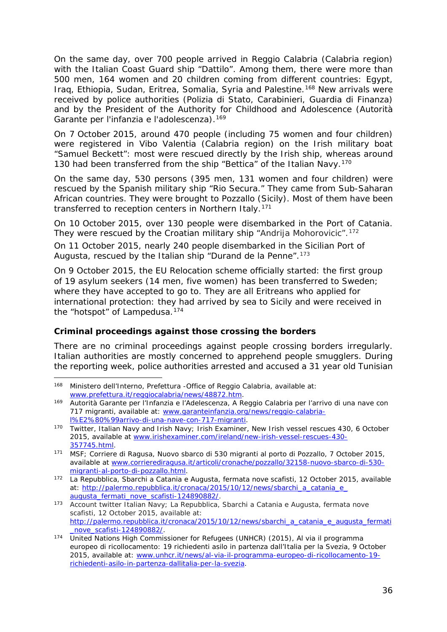<span id="page-35-1"></span>On the same day, over 700 people arrived in Reggio Calabria (Calabria region) with the Italian Coast Guard ship "Dattilo". Among them, there were more than 500 men, 164 women and 20 children coming from different countries: Egypt, Iraq, Ethiopia, Sudan, Eritrea, Somalia, Syria and Palestine.[168](#page-35-0) New arrivals were received by police authorities (*Polizia di Stato, Carabinieri, Guardia di Finanza*) and by the President of the Authority for Childhood and Adolescence (*Autorità Garante per l'infanzia e l'adolescenza*).[169](#page-35-1)

On 7 October 2015, around 470 people (including 75 women and four children) were registered in Vibo Valentia (Calabria region) on the Irish military boat "Samuel Beckett": most were rescued directly by the Irish ship, whereas around 130 had been transferred from the ship "Bettica" of the Italian Navy.<sup>[170](#page-35-2)</sup>

On the same day, 530 persons (395 men, 131 women and four children) were rescued by the Spanish military ship "Rio Secura." They came from Sub-Saharan African countries. They were brought to Pozzallo (Sicily). Most of them have been transferred to reception centers in Northern Italy.<sup>[171](#page-35-3)</sup>

On 10 October 2015, over 130 people were disembarked in the Port of Catania. They were rescued by the Croatian military ship "Andrija Mohorovicic".<sup>[172](#page-35-4)</sup>

On 11 October 2015, nearly 240 people disembarked in the Sicilian Port of Augusta, rescued by the Italian ship "Durand de la Penne".<sup>[173](#page-35-5)</sup>

On 9 October 2015, the EU Relocation scheme officially started: the first group of 19 asylum seekers (14 men, five women) has been transferred to Sweden; where they have accepted to go to. They are all Eritreans who applied for international protection: they had arrived by sea to Sicily and were received in the "hotspot" of Lampedusa.[174](#page-35-6)

#### **Criminal proceedings against those crossing the borders**

There are no criminal proceedings against people crossing borders irregularly. Italian authorities are mostly concerned to apprehend people smugglers. During the reporting week, police authorities arrested and accused a 31 year old Tunisian

<span id="page-35-0"></span><sup>168</sup> Ministero dell'Interno, Prefettura - Office of Reggio Calabria, available at: [www.prefettura.it/reggiocalabria/news/48872.htm.](http://www.prefettura.it/reggiocalabria/news/48872.htm)

<sup>169</sup> Autorità Garante per l'Infanzia e l'Adelescenza, *A Reggio Calabria per l'arrivo di una nave con 717 migranti*, available at: [www.garanteinfanzia.org/news/reggio-calabria](http://www.garanteinfanzia.org/news/reggio-calabria-l%E2%80%99arrivo-di-una-nave-con-717-migranti)[l%E2%80%99arrivo-di-una-nave-con-717-migranti.](http://www.garanteinfanzia.org/news/reggio-calabria-l%E2%80%99arrivo-di-una-nave-con-717-migranti)

<span id="page-35-2"></span><sup>170</sup> Twitter, Italian Navy and Irish Navy; Irish Examiner, *New Irish vessel rescues 430,* 6 October 2015, available at [www.irishexaminer.com/ireland/new-irish-vessel-rescues-430-](http://www.irishexaminer.com/ireland/new-irish-vessel-rescues-430-357745.html) [357745.html.](http://www.irishexaminer.com/ireland/new-irish-vessel-rescues-430-357745.html)

<span id="page-35-3"></span><sup>171</sup> MSF; Corriere di Ragusa, *Nuovo sbarco di 530 migranti al porto di Pozzallo*, 7 October 2015, available at [www.corrierediragusa.it/articoli/cronache/pozzallo/32158-nuovo-sbarco-di-530](http://www.corrierediragusa.it/articoli/cronache/pozzallo/32158-nuovo-sbarco-di-530-migranti-al-porto-di-pozzallo.html) [migranti-al-porto-di-pozzallo.html.](http://www.corrierediragusa.it/articoli/cronache/pozzallo/32158-nuovo-sbarco-di-530-migranti-al-porto-di-pozzallo.html)

<span id="page-35-4"></span><sup>172</sup> La Repubblica, *Sbarchi a Catania e Augusta, fermata nove scafisti*, 12 October 2015, available at: [http://palermo.repubblica.it/cronaca/2015/10/12/news/sbarchi\\_a\\_catania\\_e\\_](http://palermo.repubblica.it/cronaca/2015/10/12/news/sbarchi_a_catania_e_%0baugusta_fermati_nove_scafisti-124890882/) [augusta\\_fermati\\_nove\\_scafisti-124890882/.](http://palermo.repubblica.it/cronaca/2015/10/12/news/sbarchi_a_catania_e_%0baugusta_fermati_nove_scafisti-124890882/)

<span id="page-35-5"></span><sup>173</sup> Account twitter Italian Navy; La Repubblica, *Sbarchi a Catania e Augusta, fermata nove scafisti*, 12 October 2015, available at: [http://palermo.repubblica.it/cronaca/2015/10/12/news/sbarchi\\_a\\_catania\\_e\\_augusta\\_fermati](http://palermo.repubblica.it/cronaca/2015/10/12/news/sbarchi_a_catania_e_augusta_fermati_nove_scafisti-124890882/) [\\_nove\\_scafisti-124890882/.](http://palermo.repubblica.it/cronaca/2015/10/12/news/sbarchi_a_catania_e_augusta_fermati_nove_scafisti-124890882/)

<span id="page-35-6"></span><sup>174</sup> United Nations High Commissioner for Refugees (UNHCR) (2015), *Al via il programma europeo di ricollocamento: 19 richiedenti asilo in partenza dall'Italia per la Svezia,* 9 October 2015, available at: [www.unhcr.it/news/al-via-il-programma-europeo-di-ricollocamento-19](http://www.unhcr.it/news/al-via-il-programma-europeo-di-ricollocamento-19-richiedenti-asilo-in-partenza-dallitalia-per-la-svezia) [richiedenti-asilo-in-partenza-dallitalia-per-la-svezia.](http://www.unhcr.it/news/al-via-il-programma-europeo-di-ricollocamento-19-richiedenti-asilo-in-partenza-dallitalia-per-la-svezia)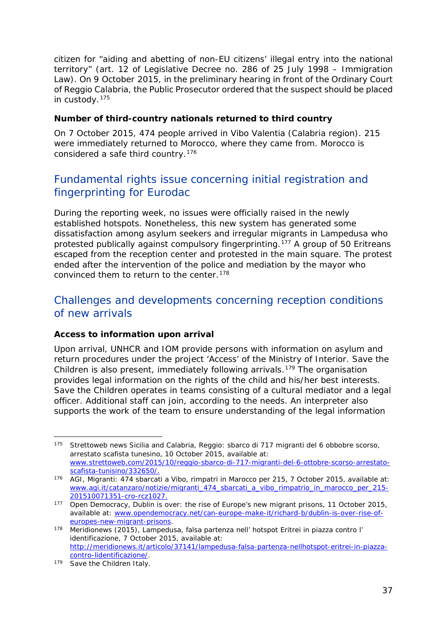<span id="page-36-3"></span>citizen for "aiding and abetting of non-EU citizens' illegal entry into the national territory" (art. 12 of Legislative Decree no. 286 of 25 July 1998 – Immigration Law). On 9 October 2015, in the preliminary hearing in front of the Ordinary Court of Reggio Calabria, the Public Prosecutor ordered that the suspect should be placed in custody.[175](#page-36-0)

#### **Number of third-country nationals returned to third country**

On 7 October 2015, 474 people arrived in Vibo Valentia (Calabria region). 215 were immediately returned to Morocco, where they came from. Morocco is considered a safe third country.[176](#page-36-1)

### Fundamental rights issue concerning initial registration and fingerprinting for Eurodac

During the reporting week, no issues were officially raised in the newly established hotspots. Nonetheless, this new system has generated some dissatisfaction among asylum seekers and irregular migrants in Lampedusa who protested publically against compulsory fingerprinting.<sup>[177](#page-36-2)</sup> [A group of 50](http://meridionews.it/articolo/37141/lampedusa-falsa-partenza-nellhotspot-eritrei-in-piazza-contro-lidentificazione/) Eritreans escaped from the reception center and protested in the main square. The protest ended after the intervention of the police and mediation by the mayor who convinced them to return to the center.<sup>[178](#page-36-3)</sup>

### Challenges and developments concerning reception conditions of new arrivals

#### **Access to information upon arrival**

Upon arrival, UNHCR and IOM provide persons with information on asylum and return procedures under the project 'Access' of the Ministry of Interior. Save the Children is also present, immediately following arrivals.<sup>[179](#page-36-4)</sup> The organisation provides legal information on the rights of the child and his/her best interests. Save the Children operates in teams consisting of a cultural mediator and a legal officer. Additional staff can join, according to the needs. An interpreter also supports the work of the team to ensure understanding of the legal information

<span id="page-36-0"></span><sup>175</sup> Strettoweb news Sicilia and Calabria, *Reggio: sbarco di 717 migranti del 6 obbobre scorso, arrestato scafista tunesino,* 10 October 2015, available at: [www.strettoweb.com/2015/10/reggio-sbarco-di-717-migranti-del-6-ottobre-scorso-arrestato](http://www.strettoweb.com/2015/10/reggio-sbarco-di-717-migranti-del-6-ottobre-scorso-arrestato-scafista-tunisino/332650/)[scafista-tunisino/332650/.](http://www.strettoweb.com/2015/10/reggio-sbarco-di-717-migranti-del-6-ottobre-scorso-arrestato-scafista-tunisino/332650/)

<span id="page-36-1"></span><sup>176</sup> AGI, *Migranti: 474 sbarcati a Vibo, rimpatri in Marocco per 215,* 7 October 2015, available at: [www.agi.it/catanzaro/notizie/migranti\\_474\\_sbarcati\\_a\\_vibo\\_rimpatrio\\_in\\_marocco\\_per\\_215-](http://www.agi.it/catanzaro/notizie/migranti_474_sbarcati_a_vibo_rimpatrio_in_marocco_per_215-201510071351-cro-rcz1027) [201510071351-cro-rcz1027.](http://www.agi.it/catanzaro/notizie/migranti_474_sbarcati_a_vibo_rimpatrio_in_marocco_per_215-201510071351-cro-rcz1027)

<span id="page-36-2"></span><sup>177</sup> Open Democracy, *Dublin is over: the rise of Europe's new migrant prisons*, 11 October 2015, available at: [www.opendemocracy.net/can-europe-make-it/richard-b/dublin-is-over-rise-of](http://www.opendemocracy.net/can-europe-make-it/richard-b/dublin-is-over-rise-of-europes-new-migrant-prisons)[europes-new-migrant-prisons.](http://www.opendemocracy.net/can-europe-make-it/richard-b/dublin-is-over-rise-of-europes-new-migrant-prisons)

<sup>178</sup> Meridionews (2015), *Lampedusa, falsa partenza nell' hotspot Eritrei in piazza contro l' identificazione*, 7 October 2015, available at: [http://meridionews.it/articolo/37141/lampedusa-falsa-partenza-nellhotspot-eritrei-in-piazza](http://meridionews.it/articolo/37141/lampedusa-falsa-partenza-nellhotspot-eritrei-in-piazza-contro-lidentificazione/)[contro-lidentificazione/.](http://meridionews.it/articolo/37141/lampedusa-falsa-partenza-nellhotspot-eritrei-in-piazza-contro-lidentificazione/)

<span id="page-36-4"></span><sup>179</sup> Save the Children Italy.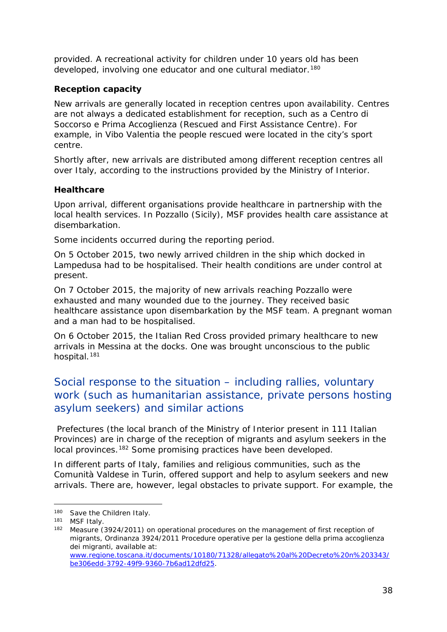provided. A recreational activity for children under 10 years old has been developed, involving one educator and one cultural mediator.<sup>[180](#page-37-0)</sup>

#### **Reception capacity**

New arrivals are generally located in reception centres upon availability. Centres are not always a dedicated establishment for reception, such as a *Centro di Soccorso e Prima Accoglienza* (Rescued and First Assistance Centre). For example, in Vibo Valentia the people rescued were located in the city's sport centre.

Shortly after, new arrivals are distributed among different reception centres all over Italy, according to the instructions provided by the Ministry of Interior.

#### **Healthcare**

Upon arrival, different organisations provide healthcare in partnership with the local health services. In Pozzallo (Sicily), MSF provides health care assistance at disembarkation.

Some incidents occurred during the reporting period.

On 5 October 2015, two newly arrived children in the ship which docked in Lampedusa had to be hospitalised. Their health conditions are under control at present.

On 7 October 2015, the majority of new arrivals reaching Pozzallo were exhausted and many wounded due to the journey. They received basic healthcare assistance upon disembarkation by the MSF team. A pregnant woman and a man had to be hospitalised.

On 6 October 2015, the Italian Red Cross provided primary healthcare to new arrivals in Messina at the docks. One was brought unconscious to the public hospital.<sup>[181](#page-37-1)</sup>

### Social response to the situation – including rallies, voluntary work (such as humanitarian assistance, private persons hosting asylum seekers) and similar actions

Prefectures (the local branch of the Ministry of Interior present in 111 Italian Provinces) are in charge of the reception of migrants and asylum seekers in the local provinces.[182](#page-37-2) Some promising practices have been developed.

In different parts of Italy, families and religious communities, such as the *Comunità Valdese* in Turin, offered support and help to asylum seekers and new arrivals. There are, however, legal obstacles to private support. For example, the

<span id="page-37-0"></span><sup>180</sup> Save the Children Italy.

<span id="page-37-1"></span><sup>181</sup> MSF Italy.

<span id="page-37-2"></span><sup>182</sup> Measure (3924/2011) on operational procedures on the management of first reception of migrants, *Ordinanza 3924/2011 Procedure operative per la gestione della prima accoglienza dei migranti*, available at: [www.regione.toscana.it/documents/10180/71328/allegato%20al%20Decreto%20n%203343/](http://www.regione.toscana.it/documents/10180/71328/allegato%20al%20Decreto%20n%203343/be306edd-3792-49f9-9360-7b6ad12dfd25) [be306edd-3792-49f9-9360-7b6ad12dfd25.](http://www.regione.toscana.it/documents/10180/71328/allegato%20al%20Decreto%20n%203343/be306edd-3792-49f9-9360-7b6ad12dfd25)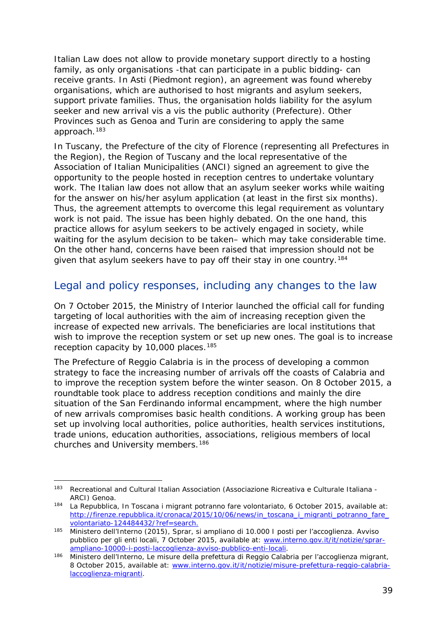Italian Law does not allow to provide monetary support directly to a hosting family, as only organisations -that can participate in a public bidding- can receive grants. In Asti (Piedmont region), an agreement was found whereby organisations, which are authorised to host migrants and asylum seekers, support private families. Thus, the organisation holds liability for the asylum seeker and new arrival vis a vis the public authority (Prefecture). Other Provinces such as Genoa and Turin are considering to apply the same approach[.183](#page-38-1)

In Tuscany, the Prefecture of the city of Florence (representing all Prefectures in the Region), the Region of Tuscany and the local representative of the Association of Italian Municipalities (ANCI) signed an agreement to give the opportunity to the people hosted in reception centres to undertake voluntary work. The Italian law does not allow that an asylum seeker works while waiting for the answer on his/her asylum application (at least in the first six months). Thus, the agreement attempts to overcome this legal requirement as voluntary work is not paid. The issue has been highly debated. On the one hand, this practice allows for asylum seekers to be actively engaged in society, while waiting for the asylum decision to be taken– which may take considerable time. On the other hand, concerns have been raised that impression should not be given that asylum seekers have to pay off their stay in one country.<sup>[184](#page-38-2)</sup>

#### Legal and policy responses, including any changes to the law

On 7 October 2015, the Ministry of Interior launched the official call for funding targeting of local authorities with the aim of increasing reception given the increase of expected new arrivals. The beneficiaries are local institutions that wish to improve the reception system or set up new ones. The goal is to increase reception capacity by 10,000 places.<sup>[185](#page-38-3)</sup>

The Prefecture of Reggio Calabria is in the process of developing a common strategy to face the increasing number of arrivals off the coasts of Calabria and to improve the reception system before the winter season. On 8 October 2015, a roundtable took place to address reception conditions and mainly the dire situation of the *San Ferdinando* informal encampment, where the high number of new arrivals compromises basic health conditions. A working group has been set up involving local authorities, police authorities, health services institutions, trade unions, education authorities, associations, religious members of local churches and University members.<sup>[186](#page-38-4)</sup>

<span id="page-38-1"></span><span id="page-38-0"></span><sup>183</sup> Recreational and Cultural Italian Association (*Associazione Ricreativa e Culturale Italiana - ARCI*) Genoa.<br><sup>184</sup> La Repubblica, *In Toscana i migrant potranno fare volontariato*, 6 October 2015, available at:

<span id="page-38-2"></span>[http://firenze.repubblica.it/cronaca/2015/10/06/news/in\\_toscana\\_i\\_migranti\\_potranno\\_fare\\_](http://firenze.repubblica.it/cronaca/2015/10/06/news/in_toscana_i_migranti_potranno_fare_volontariato-124484432/?ref=search) [volontariato-124484432/?ref=search.](http://firenze.repubblica.it/cronaca/2015/10/06/news/in_toscana_i_migranti_potranno_fare_volontariato-124484432/?ref=search)

<span id="page-38-3"></span><sup>185</sup> Ministero dell'Interno (2015), *Sprar, si ampliano di 10.000 I posti per l'accoglienza. Avviso pubblico per gli enti locali,* 7 October 2015, available at: [www.interno.gov.it/it/notizie/sprar](http://www.interno.gov.it/it/notizie/sprar-ampliano-10000-i-posti-laccoglienza-avviso-pubblico-enti-locali)[ampliano-10000-i-posti-laccoglienza-avviso-pubblico-enti-locali.](http://www.interno.gov.it/it/notizie/sprar-ampliano-10000-i-posti-laccoglienza-avviso-pubblico-enti-locali)

<span id="page-38-4"></span><sup>186</sup> Ministero dell'Interno, *Le misure della prefettura di Reggio Calabria per l'accoglienza migrant,* 8 October 2015, available at: [www.interno.gov.it/it/notizie/misure-prefettura-reggio-calabria](http://www.interno.gov.it/it/notizie/misure-prefettura-reggio-calabria-laccoglienza-migranti)[laccoglienza-migranti.](http://www.interno.gov.it/it/notizie/misure-prefettura-reggio-calabria-laccoglienza-migranti)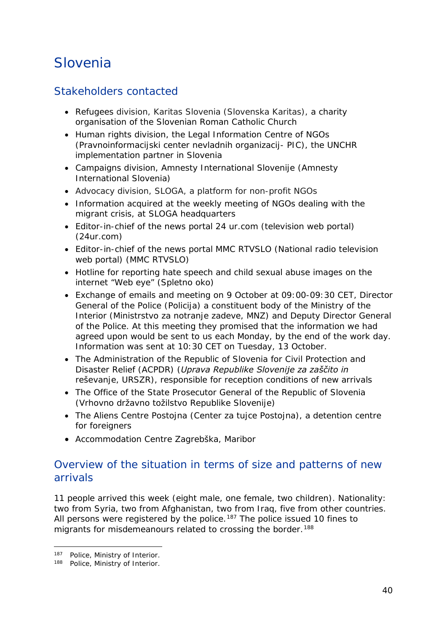## <span id="page-39-1"></span>Slovenia

### Stakeholders contacted

- Refugees division, Karitas Slovenia (*Slovenska Karitas*), a charity organisation of the Slovenian Roman Catholic Church
- Human rights division, the Legal Information Centre of NGOs (*Pravnoinformacijski center nevladnih organizacij- PIC)*, the UNCHR implementation partner in Slovenia
- Campaigns division, Amnesty International Slovenije (*Amnesty International Slovenia*)
- Advocacy division, SLOGA, a platform for non-profit NGOs
- Information acquired at the weekly meeting of NGOs dealing with the migrant crisis, at SLOGA headquarters
- Editor-in-chief of the news portal 24 ur.com (television web portal) (*24ur.com*)
- Editor-in-chief of the news portal MMC RTVSLO (National radio television web portal) (*MMC RTVSLO*)
- Hotline for reporting hate speech and child sexual abuse images on the internet "Web eye" (*Spletno oko*)
- Exchange of emails and meeting on 9 October at 09:00-09:30 CET, Director General of the Police (*Policija*) a constituent body of the Ministry of the Interior (*Ministrstvo za notranje zadeve*, *MNZ*) and Deputy Director General of the Police. At this meeting they promised that the information we had agreed upon would be sent to us each Monday, by the end of the work day. Information was sent at 10:30 CET on Tuesday, 13 October.
- The Administration of the Republic of Slovenia for Civil Protection and Disaster Relief (ACPDR) (*Uprava Republike Slovenije za zaščito in reševanje*, *URSZR*), responsible for reception conditions of new arrivals
- The Office of the State Prosecutor General of the Republic of Slovenia (*Vrhovno državno tožilstvo Republike Slovenije*)
- The Aliens Centre Postojna (*Center za tujce Postojna*), a detention centre for foreigners
- Accommodation Centre Zagrebška, Maribor

### Overview of the situation in terms of size and patterns of new arrivals

11 people arrived this week (eight male, one female, two children). Nationality: two from Syria, two from Afghanistan, two from Iraq, five from other countries. All persons were registered by the police.<sup>[187](#page-39-0)</sup> The police issued 10 fines to migrants for misdemeanours related to crossing the border.<sup>[188](#page-39-1)</sup>

<sup>187</sup> Police, Ministry of Interior. j,

<span id="page-39-0"></span><sup>188</sup> Police, Ministry of Interior.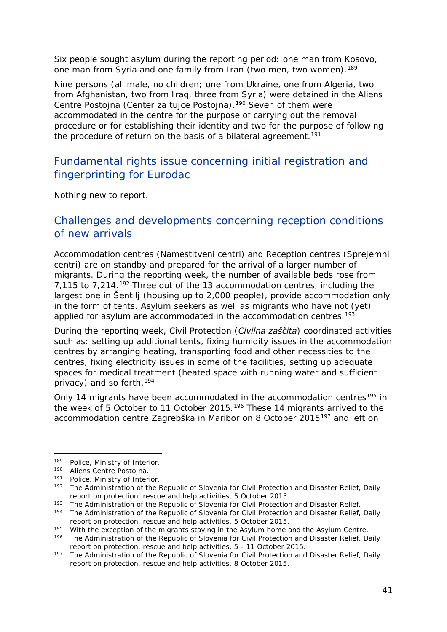<span id="page-40-2"></span>Six people sought asylum during the reporting period: one man from Kosovo, one man from Syria and one family from Iran (two men, two women).<sup>[189](#page-40-0)</sup>

Nine persons (all male, no children; one from Ukraine, one from Algeria, two from Afghanistan, two from Iraq, three from Syria) were detained in the Aliens Centre Postojna (*Center za tujce Postojna*).[190](#page-40-1) Seven of them were accommodated in the centre for the purpose of carrying out the removal procedure or for establishing their identity and two for the purpose of following the procedure of return on the basis of a bilateral agreement.<sup>[191](#page-40-2)</sup>

### Fundamental rights issue concerning initial registration and fingerprinting for Eurodac

Nothing new to report.

#### Challenges and developments concerning reception conditions of new arrivals

Accommodation centres (*Namestitveni centri*) and Reception centres (*Sprejemni centri*) are on standby and prepared for the arrival of a larger number of migrants. During the reporting week, the number of available beds rose from 7,115 to 7,214.[192](#page-40-3) Three out of the 13 accommodation centres, including the largest one in Šentilj (housing up to 2,000 people), provide accommodation only in the form of tents. Asylum seekers as well as migrants who have not (yet) applied for asylum are accommodated in the accommodation centres.<sup>[193](#page-40-2)</sup>

During the reporting week, Civil Protection (*Civilna zaščita*) coordinated activities such as: setting up additional tents, fixing humidity issues in the accommodation centres by arranging heating, transporting food and other necessities to the centres, fixing electricity issues in some of the facilities, setting up adequate spaces for medical treatment (heated space with running water and sufficient privacy) and so forth.[194](#page-40-4)

Only 14 migrants have been accommodated in the accommodation centres<sup>[195](#page-40-5)</sup> in the week of 5 October to 11 October 2015.[196](#page-40-2) These 14 migrants arrived to the accommodation centre *Zagrebška* in Maribor on 8 October 2015[197](#page-40-2) and left on

<sup>189</sup> Police, Ministry of Interior. j,

<span id="page-40-1"></span><span id="page-40-0"></span><sup>190</sup> Aliens Centre Postojna.

<sup>191</sup> Police, Ministry of Interior.

<span id="page-40-3"></span><sup>192</sup> The Administration of the Republic of Slovenia for Civil Protection and Disaster Relief, *Daily report on protection, rescue and help activities*, 5 October 2015.<br><sup>193</sup> The Administration of the Republic of Slovenia for Civil Protection and Disaster Relief.

<span id="page-40-4"></span><sup>&</sup>lt;sup>194</sup> The Administration of the Republic of Slovenia for Civil Protection and Disaster Relief, *Daily report on protection, rescue and help activities*, 5 October 2015.

<span id="page-40-5"></span><sup>&</sup>lt;sup>195</sup> With the exception of the migrants staying in the Asylum home and the Asylum Centre.

<sup>196</sup> The Administration of the Republic of Slovenia for Civil Protection and Disaster Relief, *Daily report on protection, rescue and help activities*, 5 - 11 October 2015.

<sup>197</sup> The Administration of the Republic of Slovenia for Civil Protection and Disaster Relief, *Daily report on protection, rescue and help activities*, 8 October 2015.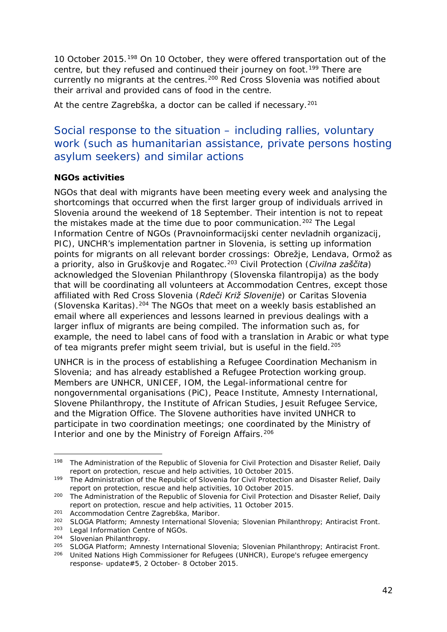<span id="page-41-5"></span>10 October 2015.[198](#page-41-0) On 10 October, they were offered transportation out of the centre, but they refused and continued their journey on foot.<sup>[199](#page-41-1)</sup> There are currently no migrants at the centres.<sup>[200](#page-41-2)</sup> Red Cross Slovenia was notified about their arrival and provided cans of food in the centre.

At the centre *Zagrebška,* a doctor can be called if necessary.[201](#page-41-3)

### Social response to the situation – including rallies, voluntary work (such as humanitarian assistance, private persons hosting asylum seekers) and similar actions

#### **NGOs activities**

NGOs that deal with migrants have been meeting every week and analysing the shortcomings that occurred when the first larger group of individuals arrived in Slovenia around the weekend of 18 September. Their intention is not to repeat the mistakes made at the time due to poor communication.<sup>[202](#page-41-4)</sup> The Legal Information Centre of NGOs (*Pravnoinformacijski center nevladnih organizacij*, *PIC*), UNCHR's implementation partner in Slovenia, is setting up information points for migrants on all relevant border crossings: Obrežje, Lendava, Ormož as a priority, also in Gruškovje and Rogatec.[203](#page-41-5) Civil Protection (*Civilna zaščita*) acknowledged the Slovenian Philanthropy (*Slovenska filantropija*) as the body that will be coordinating all volunteers at Accommodation Centres, except those affiliated with Red Cross Slovenia (*Rdeči Križ Slovenije*) or Caritas Slovenia (*Slovenska Karitas*).[204](#page-41-5) The NGOs that meet on a weekly basis established an email where all experiences and lessons learned in previous dealings with a larger influx of migrants are being compiled. The information such as, for example, the need to label cans of food with a translation in Arabic or what type of tea migrants prefer might seem trivial, but is useful in the field.<sup>[205](#page-41-5)</sup>

UNHCR is in the process of establishing a Refugee Coordination Mechanism in Slovenia; and has already established a Refugee Protection working group. Members are UNHCR, UNICEF, IOM, the Legal-informational centre for nongovernmental organisations (PiC), Peace Institute, Amnesty International, Slovene Philanthropy, the Institute of African Studies, Jesuit Refugee Service, and the Migration Office. The Slovene authorities have invited UNHCR to participate in two coordination meetings; one coordinated by the Ministry of Interior and one by the Ministry of Foreign Affairs.<sup>[206](#page-41-6)</sup>

<span id="page-41-0"></span><sup>198</sup> The Administration of the Republic of Slovenia for Civil Protection and Disaster Relief, *Daily report on protection, rescue and help activities*, 10 October 2015. -

<span id="page-41-1"></span><sup>199</sup> The Administration of the Republic of Slovenia for Civil Protection and Disaster Relief, *Daily report on protection, rescue and help activities*, 10 October 2015.

<span id="page-41-2"></span><sup>200</sup> The Administration of the Republic of Slovenia for Civil Protection and Disaster Relief, *Daily report on protection, rescue and help activities*, 11 October 2015.

<span id="page-41-3"></span><sup>&</sup>lt;sup>201</sup> Accommodation Centre Zagrebška, Maribor.

<span id="page-41-4"></span><sup>202</sup> SLOGA Platform; Amnesty International Slovenia; Slovenian Philanthropy; Antiracist Front.

<sup>203</sup> Legal Information Centre of NGOs.

<sup>204</sup> Slovenian Philanthropy.

<sup>205</sup> SLOGA Platform; Amnesty International Slovenia; Slovenian Philanthropy; Antiracist Front.

<span id="page-41-6"></span><sup>206</sup> United Nations High Commissioner for Refugees (UNHCR), *Europe's refugee emergency response*- *update#5*, 2 October- 8 October 2015.